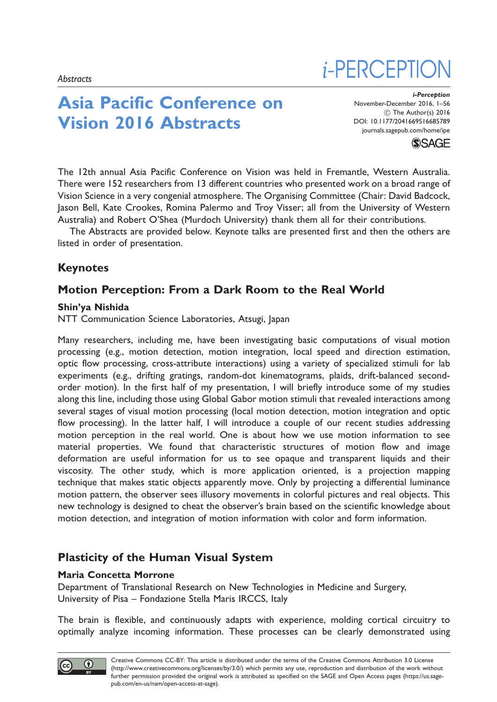# Asia Pacific Conference on Vision 2016 Abstracts

i-Perception November-December 2016, 1–56 (C) The Author(s) 2016 DOI: [10.1177/2041669516685789](https://doi.org/10.1177/2041669516685789) <journals.sagepub.com/home/ipe>

*i*-PERCEPTIO



The 12th annual Asia Pacific Conference on Vision was held in Fremantle, Western Australia. There were 152 researchers from 13 different countries who presented work on a broad range of Vision Science in a very congenial atmosphere. The Organising Committee (Chair: David Badcock, Jason Bell, Kate Crookes, Romina Palermo and Troy Visser; all from the University of Western Australia) and Robert O'Shea (Murdoch University) thank them all for their contributions.

The Abstracts are provided below. Keynote talks are presented first and then the others are listed in order of presentation.

## Keynotes

## Motion Perception: From a Dark Room to the Real World

#### Shin'ya Nishida

NTT Communication Science Laboratories, Atsugi, Japan

Many researchers, including me, have been investigating basic computations of visual motion processing (e.g., motion detection, motion integration, local speed and direction estimation, optic flow processing, cross-attribute interactions) using a variety of specialized stimuli for lab experiments (e.g., drifting gratings, random-dot kinematograms, plaids, drift-balanced secondorder motion). In the first half of my presentation, I will briefly introduce some of my studies along this line, including those using Global Gabor motion stimuli that revealed interactions among several stages of visual motion processing (local motion detection, motion integration and optic flow processing). In the latter half, I will introduce a couple of our recent studies addressing motion perception in the real world. One is about how we use motion information to see material properties. We found that characteristic structures of motion flow and image deformation are useful information for us to see opaque and transparent liquids and their viscosity. The other study, which is more application oriented, is a projection mapping technique that makes static objects apparently move. Only by projecting a differential luminance motion pattern, the observer sees illusory movements in colorful pictures and real objects. This new technology is designed to cheat the observer's brain based on the scientific knowledge about motion detection, and integration of motion information with color and form information.

## Plasticity of the Human Visual System

### Maria Concetta Morrone

Department of Translational Research on New Technologies in Medicine and Surgery, University of Pisa – Fondazione Stella Maris IRCCS, Italy

The brain is flexible, and continuously adapts with experience, molding cortical circuitry to optimally analyze incoming information. These processes can be clearly demonstrated using

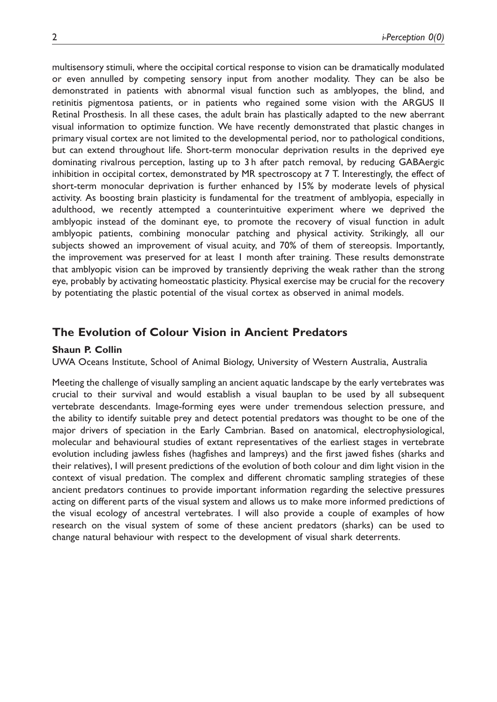multisensory stimuli, where the occipital cortical response to vision can be dramatically modulated or even annulled by competing sensory input from another modality. They can be also be demonstrated in patients with abnormal visual function such as amblyopes, the blind, and retinitis pigmentosa patients, or in patients who regained some vision with the ARGUS II Retinal Prosthesis. In all these cases, the adult brain has plastically adapted to the new aberrant visual information to optimize function. We have recently demonstrated that plastic changes in primary visual cortex are not limited to the developmental period, nor to pathological conditions, but can extend throughout life. Short-term monocular deprivation results in the deprived eye dominating rivalrous perception, lasting up to 3 h after patch removal, by reducing GABAergic inhibition in occipital cortex, demonstrated by MR spectroscopy at 7 T. Interestingly, the effect of short-term monocular deprivation is further enhanced by 15% by moderate levels of physical activity. As boosting brain plasticity is fundamental for the treatment of amblyopia, especially in adulthood, we recently attempted a counterintuitive experiment where we deprived the amblyopic instead of the dominant eye, to promote the recovery of visual function in adult amblyopic patients, combining monocular patching and physical activity. Strikingly, all our subjects showed an improvement of visual acuity, and 70% of them of stereopsis. Importantly, the improvement was preserved for at least 1 month after training. These results demonstrate that amblyopic vision can be improved by transiently depriving the weak rather than the strong eye, probably by activating homeostatic plasticity. Physical exercise may be crucial for the recovery by potentiating the plastic potential of the visual cortex as observed in animal models.

### The Evolution of Colour Vision in Ancient Predators

#### Shaun P. Collin

UWA Oceans Institute, School of Animal Biology, University of Western Australia, Australia

Meeting the challenge of visually sampling an ancient aquatic landscape by the early vertebrates was crucial to their survival and would establish a visual bauplan to be used by all subsequent vertebrate descendants. Image-forming eyes were under tremendous selection pressure, and the ability to identify suitable prey and detect potential predators was thought to be one of the major drivers of speciation in the Early Cambrian. Based on anatomical, electrophysiological, molecular and behavioural studies of extant representatives of the earliest stages in vertebrate evolution including jawless fishes (hagfishes and lampreys) and the first jawed fishes (sharks and their relatives), I will present predictions of the evolution of both colour and dim light vision in the context of visual predation. The complex and different chromatic sampling strategies of these ancient predators continues to provide important information regarding the selective pressures acting on different parts of the visual system and allows us to make more informed predictions of the visual ecology of ancestral vertebrates. I will also provide a couple of examples of how research on the visual system of some of these ancient predators (sharks) can be used to change natural behaviour with respect to the development of visual shark deterrents.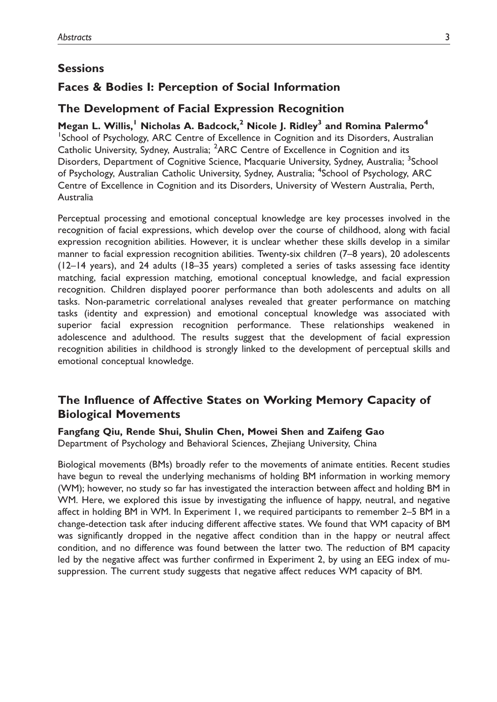### **Sessions**

### Faces & Bodies I: Perception of Social Information

### The Development of Facial Expression Recognition

Megan L. Willis,<sup>1</sup> Nicholas A. Badcock.<sup>2</sup> Nicole I. Ridley<sup>3</sup> and Romina Palermo<sup>4</sup> <sup>1</sup>School of Psychology, ARC Centre of Excellence in Cognition and its Disorders, Australian Catholic University, Sydney, Australia; <sup>2</sup>ARC Centre of Excellence in Cognition and its Disorders, Department of Cognitive Science, Macquarie University, Sydney, Australia; <sup>3</sup>School of Psychology, Australian Catholic University, Sydney, Australia; <sup>4</sup>School of Psychology, ARC Centre of Excellence in Cognition and its Disorders, University of Western Australia, Perth, Australia

Perceptual processing and emotional conceptual knowledge are key processes involved in the recognition of facial expressions, which develop over the course of childhood, along with facial expression recognition abilities. However, it is unclear whether these skills develop in a similar manner to facial expression recognition abilities. Twenty-six children (7–8 years), 20 adolescents (12–14 years), and 24 adults (18–35 years) completed a series of tasks assessing face identity matching, facial expression matching, emotional conceptual knowledge, and facial expression recognition. Children displayed poorer performance than both adolescents and adults on all tasks. Non-parametric correlational analyses revealed that greater performance on matching tasks (identity and expression) and emotional conceptual knowledge was associated with superior facial expression recognition performance. These relationships weakened in adolescence and adulthood. The results suggest that the development of facial expression recognition abilities in childhood is strongly linked to the development of perceptual skills and emotional conceptual knowledge.

## The Influence of Affective States on Working Memory Capacity of Biological Movements

Fangfang Qiu, Rende Shui, Shulin Chen, Mowei Shen and Zaifeng Gao Department of Psychology and Behavioral Sciences, Zhejiang University, China

Biological movements (BMs) broadly refer to the movements of animate entities. Recent studies have begun to reveal the underlying mechanisms of holding BM information in working memory (WM); however, no study so far has investigated the interaction between affect and holding BM in WM. Here, we explored this issue by investigating the influence of happy, neutral, and negative affect in holding BM in WM. In Experiment 1, we required participants to remember 2–5 BM in a change-detection task after inducing different affective states. We found that WM capacity of BM was significantly dropped in the negative affect condition than in the happy or neutral affect condition, and no difference was found between the latter two. The reduction of BM capacity led by the negative affect was further confirmed in Experiment 2, by using an EEG index of musuppression. The current study suggests that negative affect reduces WM capacity of BM.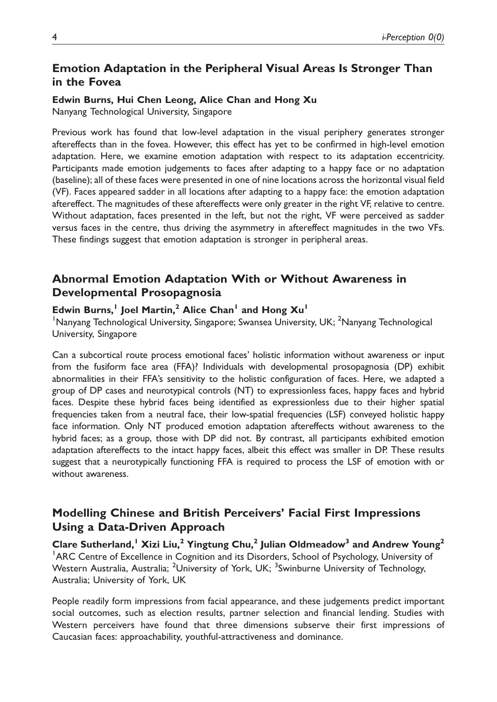## Emotion Adaptation in the Peripheral Visual Areas Is Stronger Than in the Fovea

#### Edwin Burns, Hui Chen Leong, Alice Chan and Hong Xu

Nanyang Technological University, Singapore

Previous work has found that low-level adaptation in the visual periphery generates stronger aftereffects than in the fovea. However, this effect has yet to be confirmed in high-level emotion adaptation. Here, we examine emotion adaptation with respect to its adaptation eccentricity. Participants made emotion judgements to faces after adapting to a happy face or no adaptation (baseline); all of these faces were presented in one of nine locations across the horizontal visual field (VF). Faces appeared sadder in all locations after adapting to a happy face: the emotion adaptation aftereffect. The magnitudes of these aftereffects were only greater in the right VF, relative to centre. Without adaptation, faces presented in the left, but not the right, VF were perceived as sadder versus faces in the centre, thus driving the asymmetry in aftereffect magnitudes in the two VFs. These findings suggest that emotion adaptation is stronger in peripheral areas.

## Abnormal Emotion Adaptation With or Without Awareness in Developmental Prosopagnosia

#### Edwin Burns,<sup>1</sup> Joel Martin,<sup>2</sup> Alice Chan<sup>1</sup> and Hong  $Xu<sup>1</sup>$

<sup>1</sup>Nanyang Technological University, Singapore; Swansea University, UK; <sup>2</sup>Nanyang Technological University, Singapore

Can a subcortical route process emotional faces' holistic information without awareness or input from the fusiform face area (FFA)? Individuals with developmental prosopagnosia (DP) exhibit abnormalities in their FFA's sensitivity to the holistic configuration of faces. Here, we adapted a group of DP cases and neurotypical controls (NT) to expressionless faces, happy faces and hybrid faces. Despite these hybrid faces being identified as expressionless due to their higher spatial frequencies taken from a neutral face, their low-spatial frequencies (LSF) conveyed holistic happy face information. Only NT produced emotion adaptation aftereffects without awareness to the hybrid faces; as a group, those with DP did not. By contrast, all participants exhibited emotion adaptation aftereffects to the intact happy faces, albeit this effect was smaller in DP. These results suggest that a neurotypically functioning FFA is required to process the LSF of emotion with or without awareness.

## Modelling Chinese and British Perceivers' Facial First Impressions Using a Data-Driven Approach

Clare Sutherland,<sup>1</sup> Xizi Liu,<sup>2</sup> Yingtung Chu,<sup>2</sup> Julian Oldmeadow<sup>3</sup> and Andrew Young<sup>2</sup> <sup>1</sup>ARC Centre of Excellence in Cognition and its Disorders, School of Psychology, University of Western Australia, Australia; <sup>2</sup>University of York, UK; <sup>3</sup>Swinburne University of Technology, Australia; University of York, UK

People readily form impressions from facial appearance, and these judgements predict important social outcomes, such as election results, partner selection and financial lending. Studies with Western perceivers have found that three dimensions subserve their first impressions of Caucasian faces: approachability, youthful-attractiveness and dominance.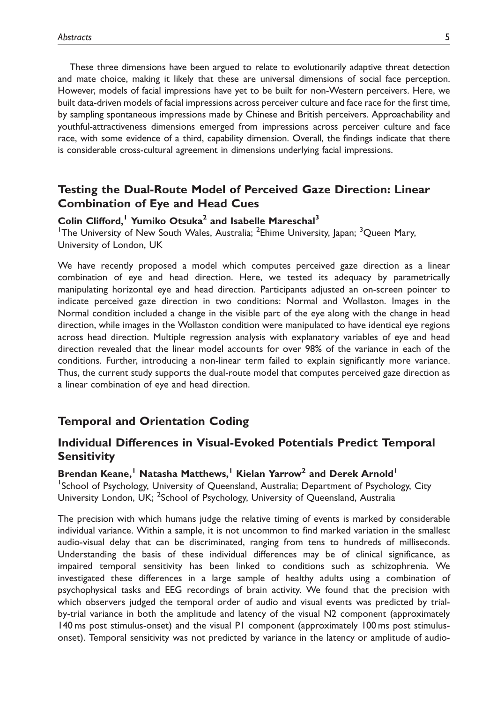These three dimensions have been argued to relate to evolutionarily adaptive threat detection and mate choice, making it likely that these are universal dimensions of social face perception. However, models of facial impressions have yet to be built for non-Western perceivers. Here, we built data-driven models of facial impressions across perceiver culture and face race for the first time, by sampling spontaneous impressions made by Chinese and British perceivers. Approachability and youthful-attractiveness dimensions emerged from impressions across perceiver culture and face race, with some evidence of a third, capability dimension. Overall, the findings indicate that there is considerable cross-cultural agreement in dimensions underlying facial impressions.

### Testing the Dual-Route Model of Perceived Gaze Direction: Linear Combination of Eye and Head Cues

#### Colin Clifford,<sup>1</sup> Yumiko Otsuka<sup>2</sup> and Isabelle Mareschal<sup>3</sup>

<sup>1</sup>The University of New South Wales, Australia; <sup>2</sup>Ehime University, Japan; <sup>3</sup>Queen Mary, University of London, UK

We have recently proposed a model which computes perceived gaze direction as a linear combination of eye and head direction. Here, we tested its adequacy by parametrically manipulating horizontal eye and head direction. Participants adjusted an on-screen pointer to indicate perceived gaze direction in two conditions: Normal and Wollaston. Images in the Normal condition included a change in the visible part of the eye along with the change in head direction, while images in the Wollaston condition were manipulated to have identical eye regions across head direction. Multiple regression analysis with explanatory variables of eye and head direction revealed that the linear model accounts for over 98% of the variance in each of the conditions. Further, introducing a non-linear term failed to explain significantly more variance. Thus, the current study supports the dual-route model that computes perceived gaze direction as a linear combination of eye and head direction.

#### Temporal and Orientation Coding

### Individual Differences in Visual-Evoked Potentials Predict Temporal **Sensitivity**

Brendan Keane,<sup>1</sup> Natasha Matthews,<sup>1</sup> Kielan Yarrow<sup>2</sup> and Derek Arnold<sup>1</sup> <sup>1</sup>School of Psychology, University of Queensland, Australia; Department of Psychology, City University London, UK; <sup>2</sup>School of Psychology, University of Queensland, Australia

The precision with which humans judge the relative timing of events is marked by considerable individual variance. Within a sample, it is not uncommon to find marked variation in the smallest audio-visual delay that can be discriminated, ranging from tens to hundreds of milliseconds. Understanding the basis of these individual differences may be of clinical significance, as impaired temporal sensitivity has been linked to conditions such as schizophrenia. We investigated these differences in a large sample of healthy adults using a combination of psychophysical tasks and EEG recordings of brain activity. We found that the precision with which observers judged the temporal order of audio and visual events was predicted by trialby-trial variance in both the amplitude and latency of the visual N2 component (approximately 140 ms post stimulus-onset) and the visual P1 component (approximately 100 ms post stimulusonset). Temporal sensitivity was not predicted by variance in the latency or amplitude of audio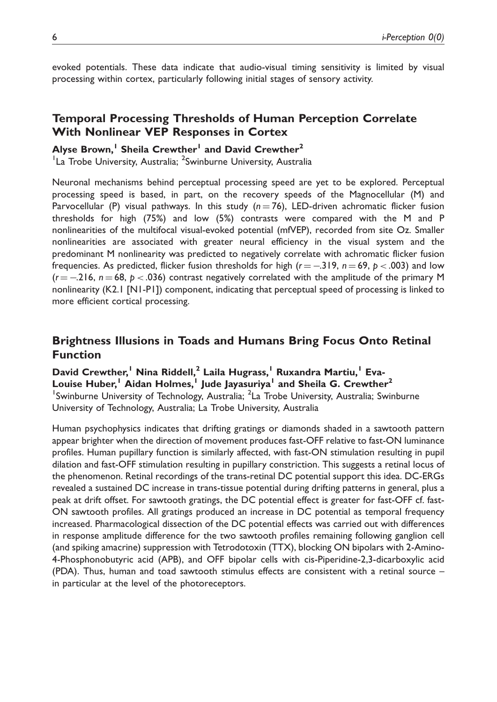evoked potentials. These data indicate that audio-visual timing sensitivity is limited by visual processing within cortex, particularly following initial stages of sensory activity.

### Temporal Processing Thresholds of Human Perception Correlate With Nonlinear VEP Responses in Cortex

#### Alyse Brown,<sup>1</sup> Sheila Crewther<sup>1</sup> and David Crewther<sup>2</sup>

<sup>1</sup>La Trobe University, Australia; <sup>2</sup>Swinburne University, Australia

Neuronal mechanisms behind perceptual processing speed are yet to be explored. Perceptual processing speed is based, in part, on the recovery speeds of the Magnocellular (M) and Parvocellular (P) visual pathways. In this study ( $n = 76$ ), LED-driven achromatic flicker fusion thresholds for high (75%) and low (5%) contrasts were compared with the M and P nonlinearities of the multifocal visual-evoked potential (mfVEP), recorded from site Oz. Smaller nonlinearities are associated with greater neural efficiency in the visual system and the predominant M nonlinearity was predicted to negatively correlate with achromatic flicker fusion frequencies. As predicted, flicker fusion thresholds for high (r  $=$   $-3$ 19,  $n$   $=$  69,  $p$   $<$  .003) and low  $(r = -216, n = 68, p < .036)$  contrast negatively correlated with the amplitude of the primary M nonlinearity (K2.1 [N1-P1]) component, indicating that perceptual speed of processing is linked to more efficient cortical processing.

### Brightness Illusions in Toads and Humans Bring Focus Onto Retinal Function

David Crewther,<sup>1</sup> Nina Riddell,<sup>2</sup> Laila Hugrass,<sup>1</sup> Ruxandra Martiu,<sup>1</sup> Eva-Louise Huber,<sup>1</sup> Aidan Holmes,<sup>1</sup> Jude Jayasuriya<sup>1</sup> and Sheila G. Crewther<sup>2</sup> <sup>1</sup>Swinburne University of Technology, Australia; <sup>2</sup>La Trobe University, Australia; Swinburne University of Technology, Australia; La Trobe University, Australia

Human psychophysics indicates that drifting gratings or diamonds shaded in a sawtooth pattern appear brighter when the direction of movement produces fast-OFF relative to fast-ON luminance profiles. Human pupillary function is similarly affected, with fast-ON stimulation resulting in pupil dilation and fast-OFF stimulation resulting in pupillary constriction. This suggests a retinal locus of the phenomenon. Retinal recordings of the trans-retinal DC potential support this idea. DC-ERGs revealed a sustained DC increase in trans-tissue potential during drifting patterns in general, plus a peak at drift offset. For sawtooth gratings, the DC potential effect is greater for fast-OFF cf. fast-ON sawtooth profiles. All gratings produced an increase in DC potential as temporal frequency increased. Pharmacological dissection of the DC potential effects was carried out with differences in response amplitude difference for the two sawtooth profiles remaining following ganglion cell (and spiking amacrine) suppression with Tetrodotoxin (TTX), blocking ON bipolars with 2-Amino-4-Phosphonobutyric acid (APB), and OFF bipolar cells with cis-Piperidine-2,3-dicarboxylic acid (PDA). Thus, human and toad sawtooth stimulus effects are consistent with a retinal source – in particular at the level of the photoreceptors.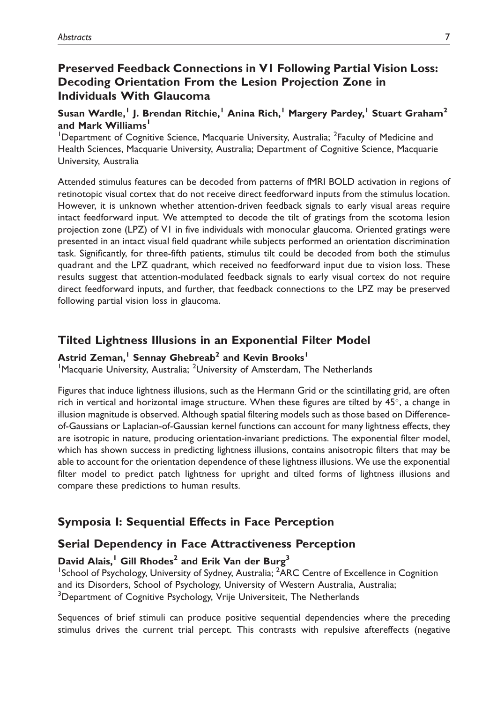## Preserved Feedback Connections in V1 Following Partial Vision Loss: Decoding Orientation From the Lesion Projection Zone in Individuals With Glaucoma

### Susan Wardle,<sup>1</sup> J. Brendan Ritchie,<sup>1</sup> Anina Rich,<sup>1</sup> Margery Pardey,<sup>1</sup> Stuart Graham<sup>2</sup> and Mark Williams'

<sup>1</sup>Department of Cognitive Science, Macquarie University, Australia; <sup>2</sup>Faculty of Medicine and Health Sciences, Macquarie University, Australia; Department of Cognitive Science, Macquarie University, Australia

Attended stimulus features can be decoded from patterns of fMRI BOLD activation in regions of retinotopic visual cortex that do not receive direct feedforward inputs from the stimulus location. However, it is unknown whether attention-driven feedback signals to early visual areas require intact feedforward input. We attempted to decode the tilt of gratings from the scotoma lesion projection zone (LPZ) of V1 in five individuals with monocular glaucoma. Oriented gratings were presented in an intact visual field quadrant while subjects performed an orientation discrimination task. Significantly, for three-fifth patients, stimulus tilt could be decoded from both the stimulus quadrant and the LPZ quadrant, which received no feedforward input due to vision loss. These results suggest that attention-modulated feedback signals to early visual cortex do not require direct feedforward inputs, and further, that feedback connections to the LPZ may be preserved following partial vision loss in glaucoma.

## Tilted Lightness Illusions in an Exponential Filter Model

### Astrid Zeman,<sup>1</sup> Sennay Ghebreab<sup>2</sup> and Kevin Brooks<sup>1</sup>

<sup>1</sup> Macquarie University, Australia; <sup>2</sup> University of Amsterdam, The Netherlands

Figures that induce lightness illusions, such as the Hermann Grid or the scintillating grid, are often rich in vertical and horizontal image structure. When these figures are tilted by  $45^\circ$ , a change in illusion magnitude is observed. Although spatial filtering models such as those based on Differenceof-Gaussians or Laplacian-of-Gaussian kernel functions can account for many lightness effects, they are isotropic in nature, producing orientation-invariant predictions. The exponential filter model, which has shown success in predicting lightness illusions, contains anisotropic filters that may be able to account for the orientation dependence of these lightness illusions. We use the exponential filter model to predict patch lightness for upright and tilted forms of lightness illusions and compare these predictions to human results.

## Symposia I: Sequential Effects in Face Perception

## Serial Dependency in Face Attractiveness Perception

### David Alais,<sup>1</sup> Gill Rhodes<sup>2</sup> and Erik Van der Burg<sup>3</sup>

<sup>1</sup>School of Psychology, University of Sydney, Australia; <sup>2</sup>ARC Centre of Excellence in Cognition and its Disorders, School of Psychology, University of Western Australia, Australia; <sup>3</sup>Department of Cognitive Psychology, Vrije Universiteit, The Netherlands

Sequences of brief stimuli can produce positive sequential dependencies where the preceding stimulus drives the current trial percept. This contrasts with repulsive aftereffects (negative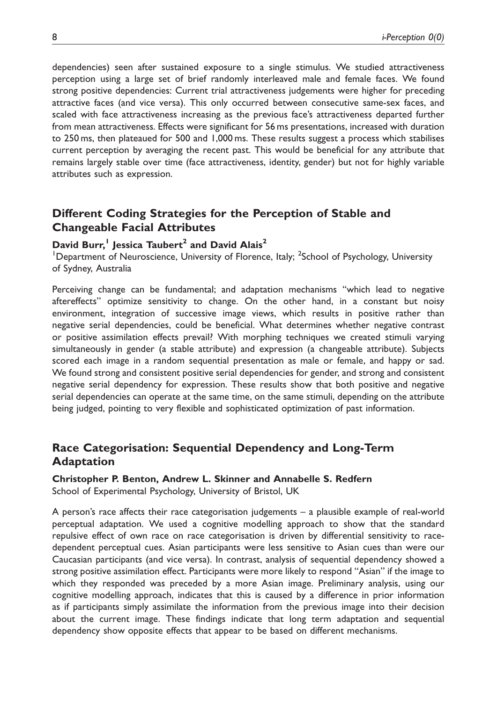dependencies) seen after sustained exposure to a single stimulus. We studied attractiveness perception using a large set of brief randomly interleaved male and female faces. We found strong positive dependencies: Current trial attractiveness judgements were higher for preceding attractive faces (and vice versa). This only occurred between consecutive same-sex faces, and scaled with face attractiveness increasing as the previous face's attractiveness departed further from mean attractiveness. Effects were significant for 56 ms presentations, increased with duration to 250 ms, then plateaued for 500 and 1,000 ms. These results suggest a process which stabilises current perception by averaging the recent past. This would be beneficial for any attribute that remains largely stable over time (face attractiveness, identity, gender) but not for highly variable attributes such as expression.

## Different Coding Strategies for the Perception of Stable and Changeable Facial Attributes

### David Burr,<sup>1</sup> Jessica Taubert<sup>2</sup> and David Alais<sup>2</sup>

<sup>1</sup>Department of Neuroscience, University of Florence, Italy; <sup>2</sup>School of Psychology, University of Sydney, Australia

Perceiving change can be fundamental; and adaptation mechanisms ''which lead to negative aftereffects'' optimize sensitivity to change. On the other hand, in a constant but noisy environment, integration of successive image views, which results in positive rather than negative serial dependencies, could be beneficial. What determines whether negative contrast or positive assimilation effects prevail? With morphing techniques we created stimuli varying simultaneously in gender (a stable attribute) and expression (a changeable attribute). Subjects scored each image in a random sequential presentation as male or female, and happy or sad. We found strong and consistent positive serial dependencies for gender, and strong and consistent negative serial dependency for expression. These results show that both positive and negative serial dependencies can operate at the same time, on the same stimuli, depending on the attribute being judged, pointing to very flexible and sophisticated optimization of past information.

## Race Categorisation: Sequential Dependency and Long-Term Adaptation

#### Christopher P. Benton, Andrew L. Skinner and Annabelle S. Redfern

School of Experimental Psychology, University of Bristol, UK

A person's race affects their race categorisation judgements – a plausible example of real-world perceptual adaptation. We used a cognitive modelling approach to show that the standard repulsive effect of own race on race categorisation is driven by differential sensitivity to racedependent perceptual cues. Asian participants were less sensitive to Asian cues than were our Caucasian participants (and vice versa). In contrast, analysis of sequential dependency showed a strong positive assimilation effect. Participants were more likely to respond ''Asian'' if the image to which they responded was preceded by a more Asian image. Preliminary analysis, using our cognitive modelling approach, indicates that this is caused by a difference in prior information as if participants simply assimilate the information from the previous image into their decision about the current image. These findings indicate that long term adaptation and sequential dependency show opposite effects that appear to be based on different mechanisms.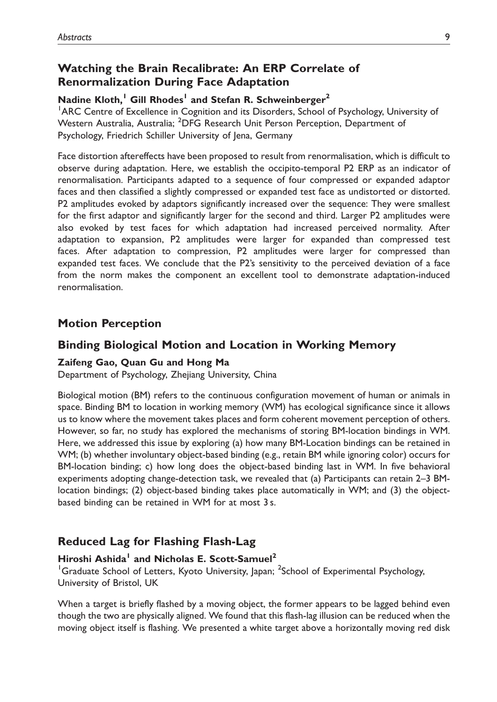## Watching the Brain Recalibrate: An ERP Correlate of Renormalization During Face Adaptation

#### Nadine Kloth,<sup>1</sup> Gill Rhodes<sup>1</sup> and Stefan R. Schweinberger<sup>2</sup>

<sup>1</sup>ARC Centre of Excellence in Cognition and its Disorders, School of Psychology, University of Western Australia, Australia; <sup>2</sup>DFG Research Unit Person Perception, Department of Psychology, Friedrich Schiller University of Jena, Germany

Face distortion aftereffects have been proposed to result from renormalisation, which is difficult to observe during adaptation. Here, we establish the occipito-temporal P2 ERP as an indicator of renormalisation. Participants adapted to a sequence of four compressed or expanded adaptor faces and then classified a slightly compressed or expanded test face as undistorted or distorted. P2 amplitudes evoked by adaptors significantly increased over the sequence: They were smallest for the first adaptor and significantly larger for the second and third. Larger P2 amplitudes were also evoked by test faces for which adaptation had increased perceived normality. After adaptation to expansion, P2 amplitudes were larger for expanded than compressed test faces. After adaptation to compression, P2 amplitudes were larger for compressed than expanded test faces. We conclude that the P2's sensitivity to the perceived deviation of a face from the norm makes the component an excellent tool to demonstrate adaptation-induced renormalisation.

### Motion Perception

### Binding Biological Motion and Location in Working Memory

#### Zaifeng Gao, Quan Gu and Hong Ma

Department of Psychology, Zhejiang University, China

Biological motion (BM) refers to the continuous configuration movement of human or animals in space. Binding BM to location in working memory (WM) has ecological significance since it allows us to know where the movement takes places and form coherent movement perception of others. However, so far, no study has explored the mechanisms of storing BM-location bindings in WM. Here, we addressed this issue by exploring (a) how many BM-Location bindings can be retained in WM; (b) whether involuntary object-based binding (e.g., retain BM while ignoring color) occurs for BM-location binding; c) how long does the object-based binding last in WM. In five behavioral experiments adopting change-detection task, we revealed that (a) Participants can retain 2–3 BMlocation bindings; (2) object-based binding takes place automatically in WM; and (3) the objectbased binding can be retained in WM for at most 3 s.

### Reduced Lag for Flashing Flash-Lag

### Hiroshi Ashida<sup>1</sup> and Nicholas E. Scott-Samuel<sup>2</sup>

<sup>1</sup>Graduate School of Letters, Kyoto University, Japan; <sup>2</sup>School of Experimental Psychology, University of Bristol, UK

When a target is briefly flashed by a moving object, the former appears to be lagged behind even though the two are physically aligned. We found that this flash-lag illusion can be reduced when the moving object itself is flashing. We presented a white target above a horizontally moving red disk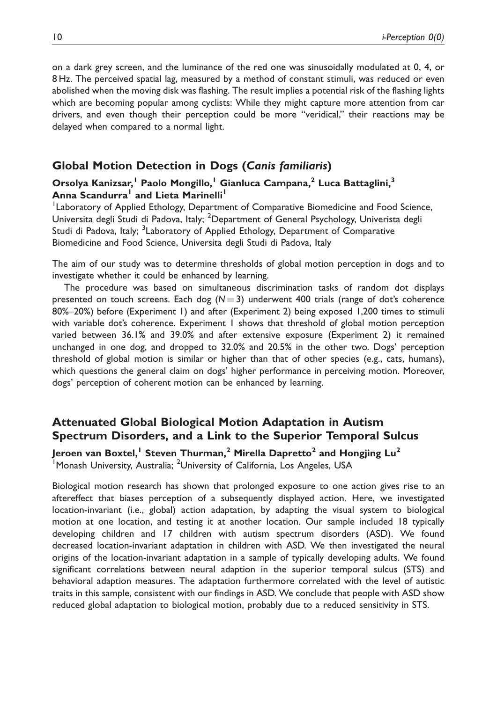on a dark grey screen, and the luminance of the red one was sinusoidally modulated at 0, 4, or 8 Hz. The perceived spatial lag, measured by a method of constant stimuli, was reduced or even abolished when the moving disk was flashing. The result implies a potential risk of the flashing lights which are becoming popular among cyclists: While they might capture more attention from car drivers, and even though their perception could be more ''veridical,'' their reactions may be delayed when compared to a normal light.

### Global Motion Detection in Dogs (Canis familiaris)

#### Orsolya Kanizsar,<sup>1</sup> Paolo Mongillo,<sup>1</sup> Gianluca Campana,<sup>2</sup> Luca Battaglini,<sup>3</sup> Anna Scandurra<sup>1</sup> and Lieta Marinelli<sup>1</sup>

<sup>1</sup> Laboratory of Applied Ethology, Department of Comparative Biomedicine and Food Science, Universita degli Studi di Padova, Italy; <sup>2</sup>Department of General Psychology, Univerista degli Studi di Padova, Italy; <sup>3</sup>Laboratory of Applied Ethology, Department of Comparative Biomedicine and Food Science, Universita degli Studi di Padova, Italy

The aim of our study was to determine thresholds of global motion perception in dogs and to investigate whether it could be enhanced by learning.

The procedure was based on simultaneous discrimination tasks of random dot displays presented on touch screens. Each dog  $(N = 3)$  underwent 400 trials (range of dot's coherence 80%–20%) before (Experiment 1) and after (Experiment 2) being exposed 1,200 times to stimuli with variable dot's coherence. Experiment 1 shows that threshold of global motion perception varied between 36.1% and 39.0% and after extensive exposure (Experiment 2) it remained unchanged in one dog, and dropped to 32.0% and 20.5% in the other two. Dogs' perception threshold of global motion is similar or higher than that of other species (e.g., cats, humans), which questions the general claim on dogs' higher performance in perceiving motion. Moreover, dogs' perception of coherent motion can be enhanced by learning.

## Attenuated Global Biological Motion Adaptation in Autism Spectrum Disorders, and a Link to the Superior Temporal Sulcus

Jeroen van Boxtel,<sup>1</sup> Steven Thurman,<sup>2</sup> Mirella Dapretto<sup>2</sup> and Hongjing Lu<sup>2</sup> <sup>1</sup> Monash University, Australia; <sup>2</sup>University of California, Los Angeles, USA

Biological motion research has shown that prolonged exposure to one action gives rise to an aftereffect that biases perception of a subsequently displayed action. Here, we investigated location-invariant (i.e., global) action adaptation, by adapting the visual system to biological motion at one location, and testing it at another location. Our sample included 18 typically developing children and 17 children with autism spectrum disorders (ASD). We found decreased location-invariant adaptation in children with ASD. We then investigated the neural origins of the location-invariant adaptation in a sample of typically developing adults. We found significant correlations between neural adaption in the superior temporal sulcus (STS) and behavioral adaption measures. The adaptation furthermore correlated with the level of autistic traits in this sample, consistent with our findings in ASD. We conclude that people with ASD show reduced global adaptation to biological motion, probably due to a reduced sensitivity in STS.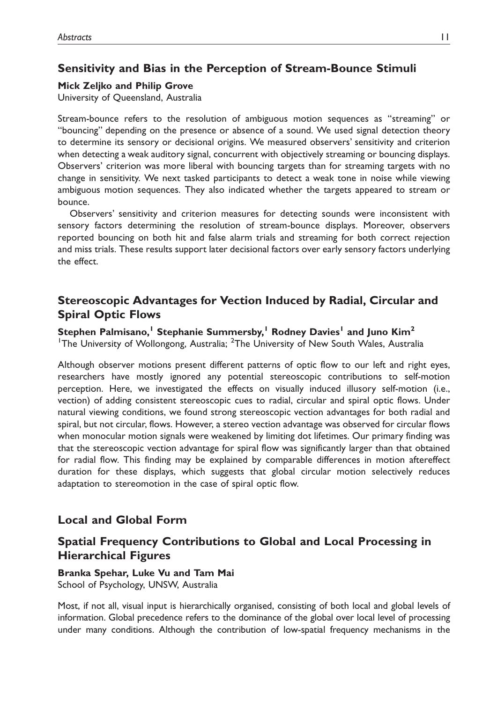## Sensitivity and Bias in the Perception of Stream-Bounce Stimuli

#### Mick Zeljko and Philip Grove

University of Queensland, Australia

Stream-bounce refers to the resolution of ambiguous motion sequences as ''streaming'' or ''bouncing'' depending on the presence or absence of a sound. We used signal detection theory to determine its sensory or decisional origins. We measured observers' sensitivity and criterion when detecting a weak auditory signal, concurrent with objectively streaming or bouncing displays. Observers' criterion was more liberal with bouncing targets than for streaming targets with no change in sensitivity. We next tasked participants to detect a weak tone in noise while viewing ambiguous motion sequences. They also indicated whether the targets appeared to stream or bounce.

Observers' sensitivity and criterion measures for detecting sounds were inconsistent with sensory factors determining the resolution of stream-bounce displays. Moreover, observers reported bouncing on both hit and false alarm trials and streaming for both correct rejection and miss trials. These results support later decisional factors over early sensory factors underlying the effect.

## Stereoscopic Advantages for Vection Induced by Radial, Circular and Spiral Optic Flows

Stephen Palmisano,<sup>1</sup> Stephanie Summersby,<sup>1</sup> Rodney Davies<sup>1</sup> and Juno Kim<sup>2</sup>

<sup>1</sup>The University of Wollongong, Australia; <sup>2</sup>The University of New South Wales, Australia

Although observer motions present different patterns of optic flow to our left and right eyes, researchers have mostly ignored any potential stereoscopic contributions to self-motion perception. Here, we investigated the effects on visually induced illusory self-motion (i.e., vection) of adding consistent stereoscopic cues to radial, circular and spiral optic flows. Under natural viewing conditions, we found strong stereoscopic vection advantages for both radial and spiral, but not circular, flows. However, a stereo vection advantage was observed for circular flows when monocular motion signals were weakened by limiting dot lifetimes. Our primary finding was that the stereoscopic vection advantage for spiral flow was significantly larger than that obtained for radial flow. This finding may be explained by comparable differences in motion aftereffect duration for these displays, which suggests that global circular motion selectively reduces adaptation to stereomotion in the case of spiral optic flow.

## Local and Global Form

## Spatial Frequency Contributions to Global and Local Processing in Hierarchical Figures

### Branka Spehar, Luke Vu and Tam Mai School of Psychology, UNSW, Australia

Most, if not all, visual input is hierarchically organised, consisting of both local and global levels of information. Global precedence refers to the dominance of the global over local level of processing under many conditions. Although the contribution of low-spatial frequency mechanisms in the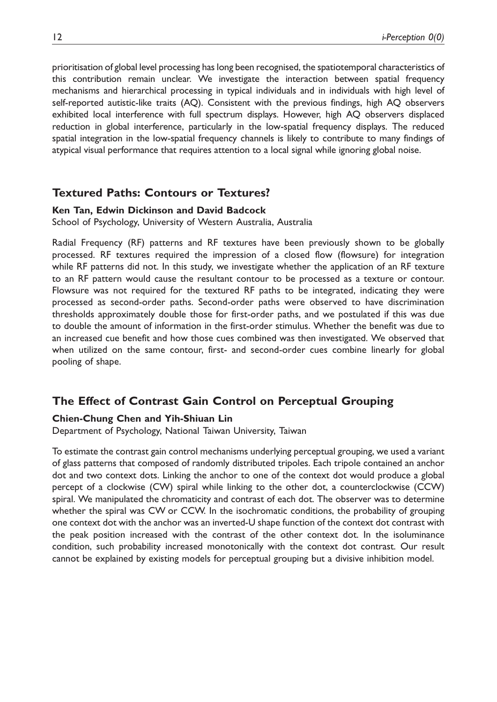prioritisation of global level processing has long been recognised, the spatiotemporal characteristics of this contribution remain unclear. We investigate the interaction between spatial frequency mechanisms and hierarchical processing in typical individuals and in individuals with high level of self-reported autistic-like traits (AQ). Consistent with the previous findings, high AQ observers exhibited local interference with full spectrum displays. However, high AQ observers displaced reduction in global interference, particularly in the low-spatial frequency displays. The reduced spatial integration in the low-spatial frequency channels is likely to contribute to many findings of atypical visual performance that requires attention to a local signal while ignoring global noise.

### Textured Paths: Contours or Textures?

#### Ken Tan, Edwin Dickinson and David Badcock

School of Psychology, University of Western Australia, Australia

Radial Frequency (RF) patterns and RF textures have been previously shown to be globally processed. RF textures required the impression of a closed flow (flowsure) for integration while RF patterns did not. In this study, we investigate whether the application of an RF texture to an RF pattern would cause the resultant contour to be processed as a texture or contour. Flowsure was not required for the textured RF paths to be integrated, indicating they were processed as second-order paths. Second-order paths were observed to have discrimination thresholds approximately double those for first-order paths, and we postulated if this was due to double the amount of information in the first-order stimulus. Whether the benefit was due to an increased cue benefit and how those cues combined was then investigated. We observed that when utilized on the same contour, first- and second-order cues combine linearly for global pooling of shape.

### The Effect of Contrast Gain Control on Perceptual Grouping

#### Chien-Chung Chen and Yih-Shiuan Lin

Department of Psychology, National Taiwan University, Taiwan

To estimate the contrast gain control mechanisms underlying perceptual grouping, we used a variant of glass patterns that composed of randomly distributed tripoles. Each tripole contained an anchor dot and two context dots. Linking the anchor to one of the context dot would produce a global percept of a clockwise (CW) spiral while linking to the other dot, a counterclockwise (CCW) spiral. We manipulated the chromaticity and contrast of each dot. The observer was to determine whether the spiral was CW or CCW. In the isochromatic conditions, the probability of grouping one context dot with the anchor was an inverted-U shape function of the context dot contrast with the peak position increased with the contrast of the other context dot. In the isoluminance condition, such probability increased monotonically with the context dot contrast. Our result cannot be explained by existing models for perceptual grouping but a divisive inhibition model.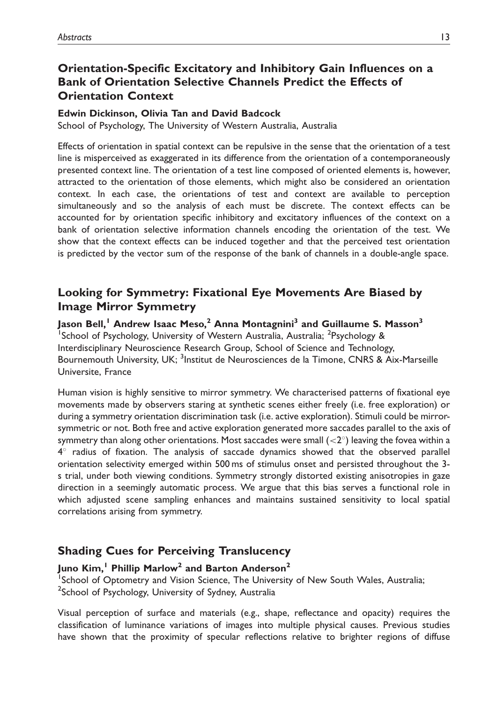## Orientation-Specific Excitatory and Inhibitory Gain Influences on a Bank of Orientation Selective Channels Predict the Effects of Orientation Context

#### Edwin Dickinson, Olivia Tan and David Badcock

School of Psychology, The University of Western Australia, Australia

Effects of orientation in spatial context can be repulsive in the sense that the orientation of a test line is misperceived as exaggerated in its difference from the orientation of a contemporaneously presented context line. The orientation of a test line composed of oriented elements is, however, attracted to the orientation of those elements, which might also be considered an orientation context. In each case, the orientations of test and context are available to perception simultaneously and so the analysis of each must be discrete. The context effects can be accounted for by orientation specific inhibitory and excitatory influences of the context on a bank of orientation selective information channels encoding the orientation of the test. We show that the context effects can be induced together and that the perceived test orientation is predicted by the vector sum of the response of the bank of channels in a double-angle space.

## Looking for Symmetry: Fixational Eye Movements Are Biased by Image Mirror Symmetry

Jason Bell,<sup>1</sup> Andrew Isaac Meso,<sup>2</sup> Anna Montagnini<sup>3</sup> and Guillaume S. Masson<sup>3</sup> <sup>1</sup>School of Psychology, University of Western Australia, Australia; <sup>2</sup>Psychology & Interdisciplinary Neuroscience Research Group, School of Science and Technology, Bournemouth University, UK; <sup>3</sup>Institut de Neurosciences de la Timone, CNRS & Aix-Marseille Universite, France

Human vision is highly sensitive to mirror symmetry. We characterised patterns of fixational eye movements made by observers staring at synthetic scenes either freely (i.e. free exploration) or during a symmetry orientation discrimination task (i.e. active exploration). Stimuli could be mirrorsymmetric or not. Both free and active exploration generated more saccades parallel to the axis of symmetry than along other orientations. Most saccades were small  $\left( < 2^{\circ} \right)$  leaving the fovea within a  $4^\circ$  radius of fixation. The analysis of saccade dynamics showed that the observed parallel orientation selectivity emerged within 500 ms of stimulus onset and persisted throughout the 3 s trial, under both viewing conditions. Symmetry strongly distorted existing anisotropies in gaze direction in a seemingly automatic process. We argue that this bias serves a functional role in which adjusted scene sampling enhances and maintains sustained sensitivity to local spatial correlations arising from symmetry.

## Shading Cues for Perceiving Translucency

### Juno Kim,<sup>1</sup> Phillip Marlow<sup>2</sup> and Barton Anderson<sup>2</sup>

<sup>1</sup>School of Optometry and Vision Science, The University of New South Wales, Australia; <sup>2</sup>School of Psychology, University of Sydney, Australia

Visual perception of surface and materials (e.g., shape, reflectance and opacity) requires the classification of luminance variations of images into multiple physical causes. Previous studies have shown that the proximity of specular reflections relative to brighter regions of diffuse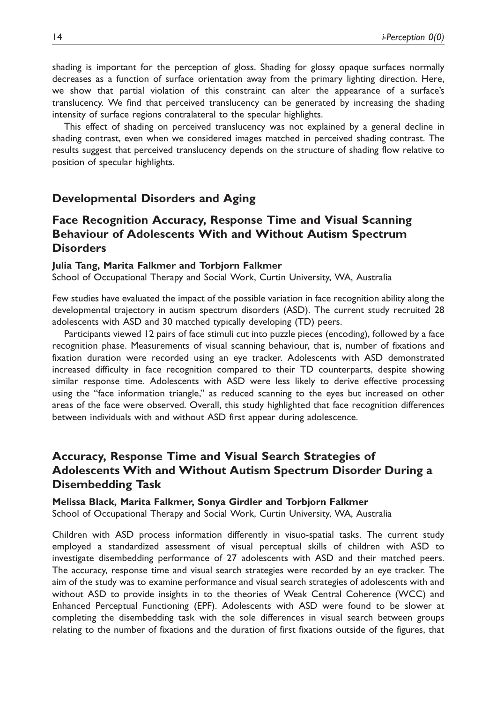shading is important for the perception of gloss. Shading for glossy opaque surfaces normally decreases as a function of surface orientation away from the primary lighting direction. Here, we show that partial violation of this constraint can alter the appearance of a surface's translucency. We find that perceived translucency can be generated by increasing the shading intensity of surface regions contralateral to the specular highlights.

This effect of shading on perceived translucency was not explained by a general decline in shading contrast, even when we considered images matched in perceived shading contrast. The results suggest that perceived translucency depends on the structure of shading flow relative to position of specular highlights.

#### Developmental Disorders and Aging

### Face Recognition Accuracy, Response Time and Visual Scanning Behaviour of Adolescents With and Without Autism Spectrum **Disorders**

#### Julia Tang, Marita Falkmer and Torbjorn Falkmer

School of Occupational Therapy and Social Work, Curtin University, WA, Australia

Few studies have evaluated the impact of the possible variation in face recognition ability along the developmental trajectory in autism spectrum disorders (ASD). The current study recruited 28 adolescents with ASD and 30 matched typically developing (TD) peers.

Participants viewed 12 pairs of face stimuli cut into puzzle pieces (encoding), followed by a face recognition phase. Measurements of visual scanning behaviour, that is, number of fixations and fixation duration were recorded using an eye tracker. Adolescents with ASD demonstrated increased difficulty in face recognition compared to their TD counterparts, despite showing similar response time. Adolescents with ASD were less likely to derive effective processing using the ''face information triangle,'' as reduced scanning to the eyes but increased on other areas of the face were observed. Overall, this study highlighted that face recognition differences between individuals with and without ASD first appear during adolescence.

## Accuracy, Response Time and Visual Search Strategies of Adolescents With and Without Autism Spectrum Disorder During a Disembedding Task

Melissa Black, Marita Falkmer, Sonya Girdler and Torbjorn Falkmer School of Occupational Therapy and Social Work, Curtin University, WA, Australia

Children with ASD process information differently in visuo-spatial tasks. The current study employed a standardized assessment of visual perceptual skills of children with ASD to investigate disembedding performance of 27 adolescents with ASD and their matched peers. The accuracy, response time and visual search strategies were recorded by an eye tracker. The aim of the study was to examine performance and visual search strategies of adolescents with and without ASD to provide insights in to the theories of Weak Central Coherence (WCC) and Enhanced Perceptual Functioning (EPF). Adolescents with ASD were found to be slower at completing the disembedding task with the sole differences in visual search between groups relating to the number of fixations and the duration of first fixations outside of the figures, that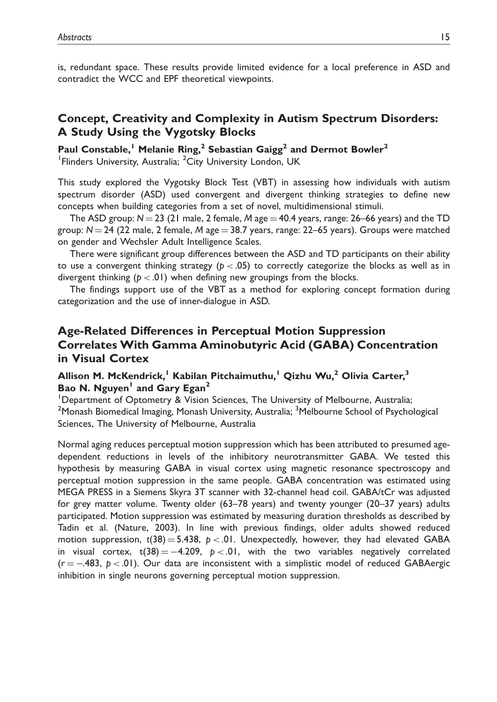is, redundant space. These results provide limited evidence for a local preference in ASD and contradict the WCC and EPF theoretical viewpoints.

## Concept, Creativity and Complexity in Autism Spectrum Disorders: A Study Using the Vygotsky Blocks

Paul Constable,<sup>1</sup> Melanie Ring,<sup>2</sup> Sebastian Gaigg<sup>2</sup> and Dermot Bowler<sup>2</sup>

<sup>1</sup> Flinders University, Australia; <sup>2</sup>City University London, UK

This study explored the Vygotsky Block Test (VBT) in assessing how individuals with autism spectrum disorder (ASD) used convergent and divergent thinking strategies to define new concepts when building categories from a set of novel, multidimensional stimuli.

The ASD group:  $N = 23$  (21 male, 2 female, M age  $= 40.4$  years, range: 26–66 years) and the TD group:  $N = 24$  (22 male, 2 female, M age = 38.7 years, range: 22–65 years). Groups were matched on gender and Wechsler Adult Intelligence Scales.

There were significant group differences between the ASD and TD participants on their ability to use a convergent thinking strategy ( $p < .05$ ) to correctly categorize the blocks as well as in divergent thinking ( $p < .01$ ) when defining new groupings from the blocks.

The findings support use of the VBT as a method for exploring concept formation during categorization and the use of inner-dialogue in ASD.

## Age-Related Differences in Perceptual Motion Suppression Correlates With Gamma Aminobutyric Acid (GABA) Concentration in Visual Cortex

### Allison M. McKendrick,<sup>1</sup> Kabilan Pitchaimuthu,<sup>1</sup> Qizhu Wu,<sup>2</sup> Olivia Carter,<sup>3</sup> Bao N. Nguyen<sup>1</sup> and Gary Egan<sup>2</sup>

<sup>1</sup>Department of Optometry & Vision Sciences, The University of Melbourne, Australia; <sup>2</sup>Monash Biomedical Imaging, Monash University, Australia; <sup>3</sup>Melbourne School of Psychological Sciences, The University of Melbourne, Australia

Normal aging reduces perceptual motion suppression which has been attributed to presumed agedependent reductions in levels of the inhibitory neurotransmitter GABA. We tested this hypothesis by measuring GABA in visual cortex using magnetic resonance spectroscopy and perceptual motion suppression in the same people. GABA concentration was estimated using MEGA PRESS in a Siemens Skyra 3T scanner with 32-channel head coil. GABA/tCr was adjusted for grey matter volume. Twenty older (63–78 years) and twenty younger (20–37 years) adults participated. Motion suppression was estimated by measuring duration thresholds as described by Tadin et al. (Nature, 2003). In line with previous findings, older adults showed reduced motion suppression,  $t(38) = 5.438$ ,  $p < 0.01$ . Unexpectedly, however, they had elevated GABA in visual cortex, t(38)= $-4.20$ 9, p  $< .01$ , with the two variables negatively correlated (r  $=$  -483, p < .01). Our data are inconsistent with a simplistic model of reduced GABAergic inhibition in single neurons governing perceptual motion suppression.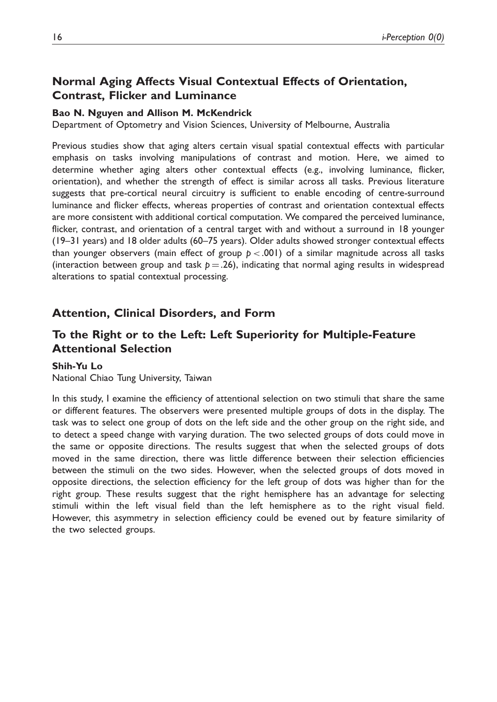## Normal Aging Affects Visual Contextual Effects of Orientation, Contrast, Flicker and Luminance

#### Bao N. Nguyen and Allison M. McKendrick

Department of Optometry and Vision Sciences, University of Melbourne, Australia

Previous studies show that aging alters certain visual spatial contextual effects with particular emphasis on tasks involving manipulations of contrast and motion. Here, we aimed to determine whether aging alters other contextual effects (e.g., involving luminance, flicker, orientation), and whether the strength of effect is similar across all tasks. Previous literature suggests that pre-cortical neural circuitry is sufficient to enable encoding of centre-surround luminance and flicker effects, whereas properties of contrast and orientation contextual effects are more consistent with additional cortical computation. We compared the perceived luminance, flicker, contrast, and orientation of a central target with and without a surround in 18 younger (19–31 years) and 18 older adults (60–75 years). Older adults showed stronger contextual effects than younger observers (main effect of group  $p < .001$ ) of a similar magnitude across all tasks (interaction between group and task  $p = .26$ ), indicating that normal aging results in widespread alterations to spatial contextual processing.

### Attention, Clinical Disorders, and Form

## To the Right or to the Left: Left Superiority for Multiple-Feature Attentional Selection

#### Shih-Yu Lo

National Chiao Tung University, Taiwan

In this study, I examine the efficiency of attentional selection on two stimuli that share the same or different features. The observers were presented multiple groups of dots in the display. The task was to select one group of dots on the left side and the other group on the right side, and to detect a speed change with varying duration. The two selected groups of dots could move in the same or opposite directions. The results suggest that when the selected groups of dots moved in the same direction, there was little difference between their selection efficiencies between the stimuli on the two sides. However, when the selected groups of dots moved in opposite directions, the selection efficiency for the left group of dots was higher than for the right group. These results suggest that the right hemisphere has an advantage for selecting stimuli within the left visual field than the left hemisphere as to the right visual field. However, this asymmetry in selection efficiency could be evened out by feature similarity of the two selected groups.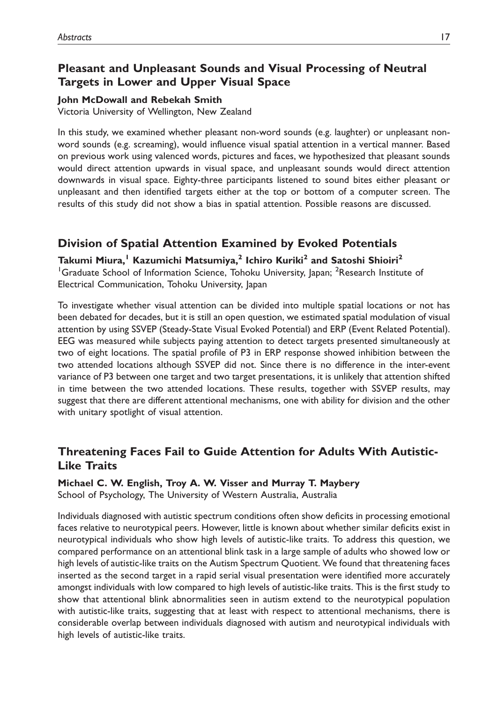## Pleasant and Unpleasant Sounds and Visual Processing of Neutral Targets in Lower and Upper Visual Space

#### John McDowall and Rebekah Smith

Victoria University of Wellington, New Zealand

In this study, we examined whether pleasant non-word sounds (e.g. laughter) or unpleasant nonword sounds (e.g. screaming), would influence visual spatial attention in a vertical manner. Based on previous work using valenced words, pictures and faces, we hypothesized that pleasant sounds would direct attention upwards in visual space, and unpleasant sounds would direct attention downwards in visual space. Eighty-three participants listened to sound bites either pleasant or unpleasant and then identified targets either at the top or bottom of a computer screen. The results of this study did not show a bias in spatial attention. Possible reasons are discussed.

## Division of Spatial Attention Examined by Evoked Potentials

Takumi Miura,<sup>1</sup> Kazumichi Matsumiya,<sup>2</sup> Ichiro Kuriki<sup>2</sup> and Satoshi Shioiri<sup>2</sup> <sup>1</sup>Graduate School of Information Science, Tohoku University, Japan; <sup>2</sup>Research Institute of Electrical Communication, Tohoku University, Japan

To investigate whether visual attention can be divided into multiple spatial locations or not has been debated for decades, but it is still an open question, we estimated spatial modulation of visual attention by using SSVEP (Steady-State Visual Evoked Potential) and ERP (Event Related Potential). EEG was measured while subjects paying attention to detect targets presented simultaneously at two of eight locations. The spatial profile of P3 in ERP response showed inhibition between the two attended locations although SSVEP did not. Since there is no difference in the inter-event variance of P3 between one target and two target presentations, it is unlikely that attention shifted in time between the two attended locations. These results, together with SSVEP results, may suggest that there are different attentional mechanisms, one with ability for division and the other with unitary spotlight of visual attention.

## Threatening Faces Fail to Guide Attention for Adults With Autistic-Like Traits

Michael C. W. English, Troy A. W. Visser and Murray T. Maybery

School of Psychology, The University of Western Australia, Australia

Individuals diagnosed with autistic spectrum conditions often show deficits in processing emotional faces relative to neurotypical peers. However, little is known about whether similar deficits exist in neurotypical individuals who show high levels of autistic-like traits. To address this question, we compared performance on an attentional blink task in a large sample of adults who showed low or high levels of autistic-like traits on the Autism Spectrum Quotient. We found that threatening faces inserted as the second target in a rapid serial visual presentation were identified more accurately amongst individuals with low compared to high levels of autistic-like traits. This is the first study to show that attentional blink abnormalities seen in autism extend to the neurotypical population with autistic-like traits, suggesting that at least with respect to attentional mechanisms, there is considerable overlap between individuals diagnosed with autism and neurotypical individuals with high levels of autistic-like traits.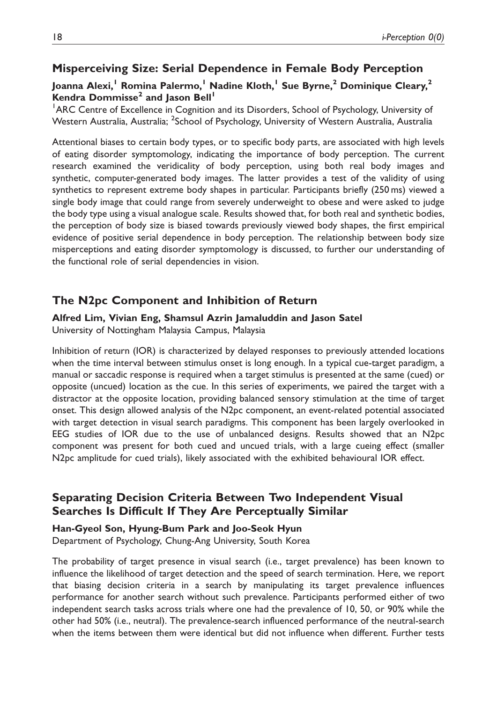## Misperceiving Size: Serial Dependence in Female Body Perception

### Joanna Alexi,<sup>1</sup> Romina Palermo,<sup>1</sup> Nadine Kloth,<sup>1</sup> Sue Byrne,<sup>2</sup> Dominique Cleary,<sup>2</sup> Kendra Dommisse<sup>2</sup> and Jason Bell<sup>1</sup>

<sup>1</sup> ARC Centre of Excellence in Cognition and its Disorders, School of Psychology, University of Western Australia, Australia; <sup>2</sup>School of Psychology, University of Western Australia, Australia

Attentional biases to certain body types, or to specific body parts, are associated with high levels of eating disorder symptomology, indicating the importance of body perception. The current research examined the veridicality of body perception, using both real body images and synthetic, computer-generated body images. The latter provides a test of the validity of using synthetics to represent extreme body shapes in particular. Participants briefly (250 ms) viewed a single body image that could range from severely underweight to obese and were asked to judge the body type using a visual analogue scale. Results showed that, for both real and synthetic bodies, the perception of body size is biased towards previously viewed body shapes, the first empirical evidence of positive serial dependence in body perception. The relationship between body size misperceptions and eating disorder symptomology is discussed, to further our understanding of the functional role of serial dependencies in vision.

### The N2pc Component and Inhibition of Return

#### Alfred Lim, Vivian Eng, Shamsul Azrin Jamaluddin and Jason Satel

University of Nottingham Malaysia Campus, Malaysia

Inhibition of return (IOR) is characterized by delayed responses to previously attended locations when the time interval between stimulus onset is long enough. In a typical cue-target paradigm, a manual or saccadic response is required when a target stimulus is presented at the same (cued) or opposite (uncued) location as the cue. In this series of experiments, we paired the target with a distractor at the opposite location, providing balanced sensory stimulation at the time of target onset. This design allowed analysis of the N2pc component, an event-related potential associated with target detection in visual search paradigms. This component has been largely overlooked in EEG studies of IOR due to the use of unbalanced designs. Results showed that an N2pc component was present for both cued and uncued trials, with a large cueing effect (smaller N2pc amplitude for cued trials), likely associated with the exhibited behavioural IOR effect.

## Separating Decision Criteria Between Two Independent Visual Searches Is Difficult If They Are Perceptually Similar

#### Han-Gyeol Son, Hyung-Bum Park and Joo-Seok Hyun

Department of Psychology, Chung-Ang University, South Korea

The probability of target presence in visual search (i.e., target prevalence) has been known to influence the likelihood of target detection and the speed of search termination. Here, we report that biasing decision criteria in a search by manipulating its target prevalence influences performance for another search without such prevalence. Participants performed either of two independent search tasks across trials where one had the prevalence of 10, 50, or 90% while the other had 50% (i.e., neutral). The prevalence-search influenced performance of the neutral-search when the items between them were identical but did not influence when different. Further tests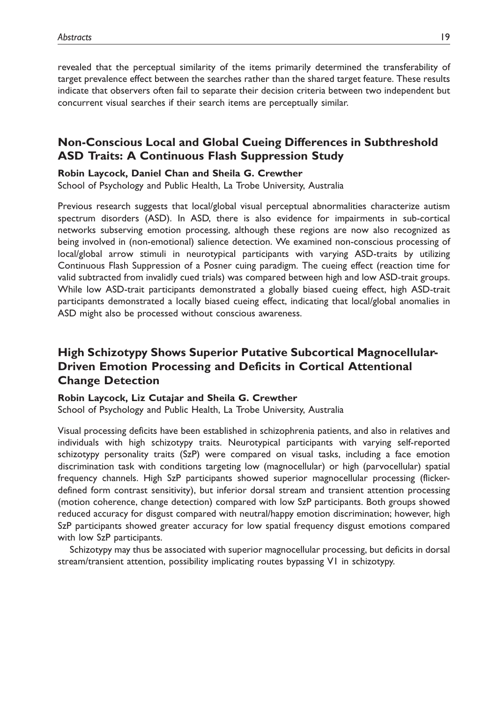revealed that the perceptual similarity of the items primarily determined the transferability of target prevalence effect between the searches rather than the shared target feature. These results indicate that observers often fail to separate their decision criteria between two independent but concurrent visual searches if their search items are perceptually similar.

## Non-Conscious Local and Global Cueing Differences in Subthreshold ASD Traits: A Continuous Flash Suppression Study

#### Robin Laycock, Daniel Chan and Sheila G. Crewther

School of Psychology and Public Health, La Trobe University, Australia

Previous research suggests that local/global visual perceptual abnormalities characterize autism spectrum disorders (ASD). In ASD, there is also evidence for impairments in sub-cortical networks subserving emotion processing, although these regions are now also recognized as being involved in (non-emotional) salience detection. We examined non-conscious processing of local/global arrow stimuli in neurotypical participants with varying ASD-traits by utilizing Continuous Flash Suppression of a Posner cuing paradigm. The cueing effect (reaction time for valid subtracted from invalidly cued trials) was compared between high and low ASD-trait groups. While low ASD-trait participants demonstrated a globally biased cueing effect, high ASD-trait participants demonstrated a locally biased cueing effect, indicating that local/global anomalies in ASD might also be processed without conscious awareness.

## High Schizotypy Shows Superior Putative Subcortical Magnocellular-Driven Emotion Processing and Deficits in Cortical Attentional Change Detection

Robin Laycock, Liz Cutajar and Sheila G. Crewther

School of Psychology and Public Health, La Trobe University, Australia

Visual processing deficits have been established in schizophrenia patients, and also in relatives and individuals with high schizotypy traits. Neurotypical participants with varying self-reported schizotypy personality traits (SzP) were compared on visual tasks, including a face emotion discrimination task with conditions targeting low (magnocellular) or high (parvocellular) spatial frequency channels. High SzP participants showed superior magnocellular processing (flickerdefined form contrast sensitivity), but inferior dorsal stream and transient attention processing (motion coherence, change detection) compared with low SzP participants. Both groups showed reduced accuracy for disgust compared with neutral/happy emotion discrimination; however, high SzP participants showed greater accuracy for low spatial frequency disgust emotions compared with low SzP participants.

Schizotypy may thus be associated with superior magnocellular processing, but deficits in dorsal stream/transient attention, possibility implicating routes bypassing V1 in schizotypy.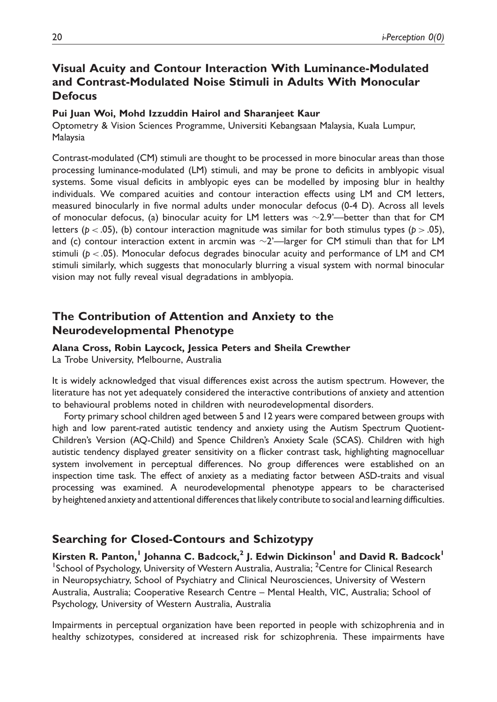## Visual Acuity and Contour Interaction With Luminance-Modulated and Contrast-Modulated Noise Stimuli in Adults With Monocular **Defocus**

#### Pui Juan Woi, Mohd Izzuddin Hairol and Sharanjeet Kaur

Optometry & Vision Sciences Programme, Universiti Kebangsaan Malaysia, Kuala Lumpur, Malaysia

Contrast-modulated (CM) stimuli are thought to be processed in more binocular areas than those processing luminance-modulated (LM) stimuli, and may be prone to deficits in amblyopic visual systems. Some visual deficits in amblyopic eyes can be modelled by imposing blur in healthy individuals. We compared acuities and contour interaction effects using LM and CM letters, measured binocularly in five normal adults under monocular defocus (0-4 D). Across all levels of monocular defocus, (a) binocular acuity for LM letters was  $\sim$ 2.9'—better than that for CM letters ( $p < .05$ ), (b) contour interaction magnitude was similar for both stimulus types ( $p > .05$ ), and (c) contour interaction extent in arcmin was  $\sim$ 2'—larger for CM stimuli than that for LM stimuli ( $p < .05$ ). Monocular defocus degrades binocular acuity and performance of LM and CM stimuli similarly, which suggests that monocularly blurring a visual system with normal binocular vision may not fully reveal visual degradations in amblyopia.

## The Contribution of Attention and Anxiety to the Neurodevelopmental Phenotype

Alana Cross, Robin Laycock, Jessica Peters and Sheila Crewther La Trobe University, Melbourne, Australia

It is widely acknowledged that visual differences exist across the autism spectrum. However, the literature has not yet adequately considered the interactive contributions of anxiety and attention to behavioural problems noted in children with neurodevelopmental disorders.

Forty primary school children aged between 5 and 12 years were compared between groups with high and low parent-rated autistic tendency and anxiety using the Autism Spectrum Quotient-Children's Version (AQ-Child) and Spence Children's Anxiety Scale (SCAS). Children with high autistic tendency displayed greater sensitivity on a flicker contrast task, highlighting magnocelluar system involvement in perceptual differences. No group differences were established on an inspection time task. The effect of anxiety as a mediating factor between ASD-traits and visual processing was examined. A neurodevelopmental phenotype appears to be characterised by heightened anxiety and attentional differences that likely contribute to social and learning difficulties.

### Searching for Closed-Contours and Schizotypy

Kirsten R. Panton,<sup>1</sup> Johanna C. Badcock,<sup>2</sup> J. Edwin Dickinson<sup>1</sup> and David R. Badcock<sup>1</sup> <sup>1</sup>School of Psychology, University of Western Australia, Australia; <sup>2</sup>Centre for Clinical Research in Neuropsychiatry, School of Psychiatry and Clinical Neurosciences, University of Western Australia, Australia; Cooperative Research Centre – Mental Health, VIC, Australia; School of Psychology, University of Western Australia, Australia

Impairments in perceptual organization have been reported in people with schizophrenia and in healthy schizotypes, considered at increased risk for schizophrenia. These impairments have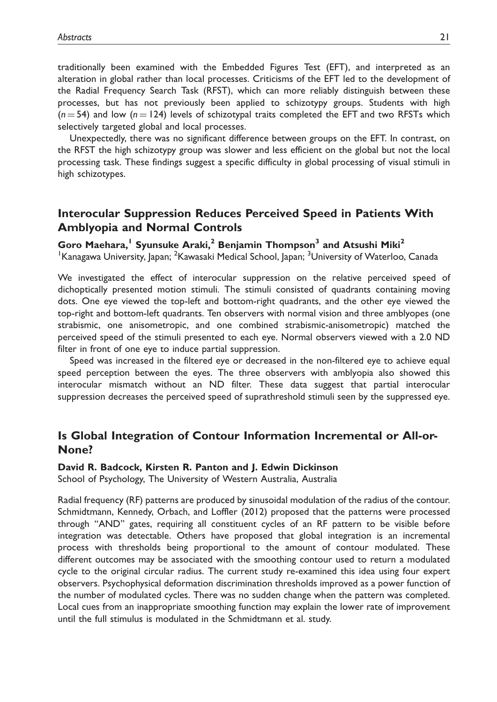traditionally been examined with the Embedded Figures Test (EFT), and interpreted as an alteration in global rather than local processes. Criticisms of the EFT led to the development of the Radial Frequency Search Task (RFST), which can more reliably distinguish between these processes, but has not previously been applied to schizotypy groups. Students with high  $(n = 54)$  and low  $(n = 124)$  levels of schizotypal traits completed the EFT and two RFSTs which selectively targeted global and local processes.

Unexpectedly, there was no significant difference between groups on the EFT. In contrast, on the RFST the high schizotypy group was slower and less efficient on the global but not the local processing task. These findings suggest a specific difficulty in global processing of visual stimuli in high schizotypes.

## Interocular Suppression Reduces Perceived Speed in Patients With Amblyopia and Normal Controls

### Goro Maehara,<sup>1</sup> Syunsuke Araki,<sup>2</sup> Benjamin Thompson<sup>3</sup> and Atsushi Miki<sup>2</sup>

<sup>1</sup> Kanagawa University, Japan; <sup>2</sup> Kawasaki Medical School, Japan; <sup>3</sup> University of Waterloo, Canada

We investigated the effect of interocular suppression on the relative perceived speed of dichoptically presented motion stimuli. The stimuli consisted of quadrants containing moving dots. One eye viewed the top-left and bottom-right quadrants, and the other eye viewed the top-right and bottom-left quadrants. Ten observers with normal vision and three amblyopes (one strabismic, one anisometropic, and one combined strabismic-anisometropic) matched the perceived speed of the stimuli presented to each eye. Normal observers viewed with a 2.0 ND filter in front of one eye to induce partial suppression.

Speed was increased in the filtered eye or decreased in the non-filtered eye to achieve equal speed perception between the eyes. The three observers with amblyopia also showed this interocular mismatch without an ND filter. These data suggest that partial interocular suppression decreases the perceived speed of suprathreshold stimuli seen by the suppressed eye.

### Is Global Integration of Contour Information Incremental or All-or-None?

#### David R. Badcock, Kirsten R. Panton and J. Edwin Dickinson

School of Psychology, The University of Western Australia, Australia

Radial frequency (RF) patterns are produced by sinusoidal modulation of the radius of the contour. Schmidtmann, Kennedy, Orbach, and Loffler (2012) proposed that the patterns were processed through ''AND'' gates, requiring all constituent cycles of an RF pattern to be visible before integration was detectable. Others have proposed that global integration is an incremental process with thresholds being proportional to the amount of contour modulated. These different outcomes may be associated with the smoothing contour used to return a modulated cycle to the original circular radius. The current study re-examined this idea using four expert observers. Psychophysical deformation discrimination thresholds improved as a power function of the number of modulated cycles. There was no sudden change when the pattern was completed. Local cues from an inappropriate smoothing function may explain the lower rate of improvement until the full stimulus is modulated in the Schmidtmann et al. study.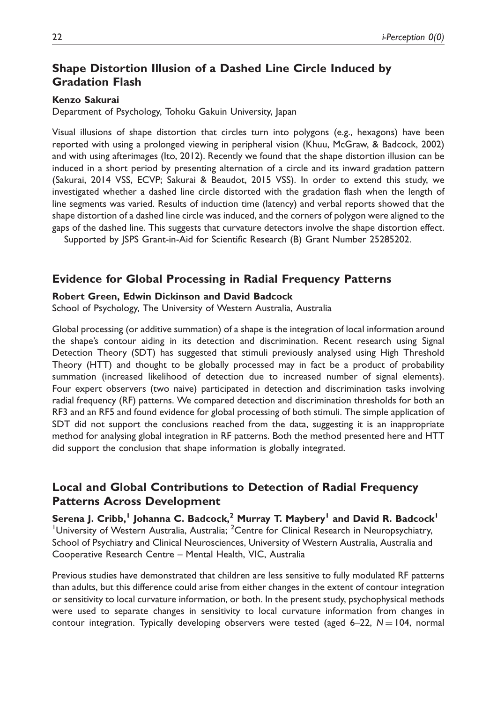## Shape Distortion Illusion of a Dashed Line Circle Induced by Gradation Flash

#### Kenzo Sakurai

Department of Psychology, Tohoku Gakuin University, Japan

Visual illusions of shape distortion that circles turn into polygons (e.g., hexagons) have been reported with using a prolonged viewing in peripheral vision (Khuu, McGraw, & Badcock, 2002) and with using afterimages (Ito, 2012). Recently we found that the shape distortion illusion can be induced in a short period by presenting alternation of a circle and its inward gradation pattern (Sakurai, 2014 VSS, ECVP; Sakurai & Beaudot, 2015 VSS). In order to extend this study, we investigated whether a dashed line circle distorted with the gradation flash when the length of line segments was varied. Results of induction time (latency) and verbal reports showed that the shape distortion of a dashed line circle was induced, and the corners of polygon were aligned to the gaps of the dashed line. This suggests that curvature detectors involve the shape distortion effect.

Supported by JSPS Grant-in-Aid for Scientific Research (B) Grant Number 25285202.

#### Evidence for Global Processing in Radial Frequency Patterns

#### Robert Green, Edwin Dickinson and David Badcock

School of Psychology, The University of Western Australia, Australia

Global processing (or additive summation) of a shape is the integration of local information around the shape's contour aiding in its detection and discrimination. Recent research using Signal Detection Theory (SDT) has suggested that stimuli previously analysed using High Threshold Theory (HTT) and thought to be globally processed may in fact be a product of probability summation (increased likelihood of detection due to increased number of signal elements). Four expert observers (two naive) participated in detection and discrimination tasks involving radial frequency (RF) patterns. We compared detection and discrimination thresholds for both an RF3 and an RF5 and found evidence for global processing of both stimuli. The simple application of SDT did not support the conclusions reached from the data, suggesting it is an inappropriate method for analysing global integration in RF patterns. Both the method presented here and HTT did support the conclusion that shape information is globally integrated.

## Local and Global Contributions to Detection of Radial Frequency Patterns Across Development

Serena J. Cribb,<sup>1</sup> Johanna C. Badcock,<sup>2</sup> Murray T. Maybery<sup>1</sup> and David R. Badcock<sup>1</sup> <sup>1</sup>University of Western Australia, Australia; <sup>2</sup>Centre for Clinical Research in Neuropsychiatry, School of Psychiatry and Clinical Neurosciences, University of Western Australia, Australia and Cooperative Research Centre – Mental Health, VIC, Australia

Previous studies have demonstrated that children are less sensitive to fully modulated RF patterns than adults, but this difference could arise from either changes in the extent of contour integration or sensitivity to local curvature information, or both. In the present study, psychophysical methods were used to separate changes in sensitivity to local curvature information from changes in contour integration. Typically developing observers were tested (aged 6–22,  $N = 104$ , normal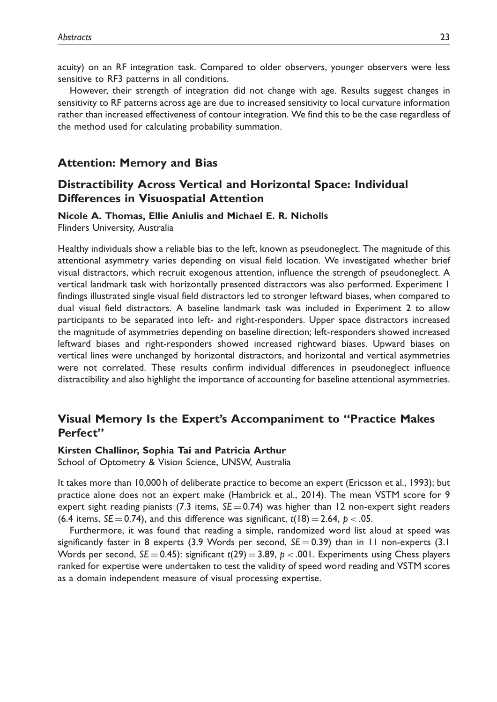acuity) on an RF integration task. Compared to older observers, younger observers were less sensitive to RF3 patterns in all conditions.

However, their strength of integration did not change with age. Results suggest changes in sensitivity to RF patterns across age are due to increased sensitivity to local curvature information rather than increased effectiveness of contour integration. We find this to be the case regardless of the method used for calculating probability summation.

#### Attention: Memory and Bias

### Distractibility Across Vertical and Horizontal Space: Individual Differences in Visuospatial Attention

#### Nicole A. Thomas, Ellie Aniulis and Michael E. R. Nicholls

Flinders University, Australia

Healthy individuals show a reliable bias to the left, known as pseudoneglect. The magnitude of this attentional asymmetry varies depending on visual field location. We investigated whether brief visual distractors, which recruit exogenous attention, influence the strength of pseudoneglect. A vertical landmark task with horizontally presented distractors was also performed. Experiment 1 findings illustrated single visual field distractors led to stronger leftward biases, when compared to dual visual field distractors. A baseline landmark task was included in Experiment 2 to allow participants to be separated into left- and right-responders. Upper space distractors increased the magnitude of asymmetries depending on baseline direction; left-responders showed increased leftward biases and right-responders showed increased rightward biases. Upward biases on vertical lines were unchanged by horizontal distractors, and horizontal and vertical asymmetries were not correlated. These results confirm individual differences in pseudoneglect influence distractibility and also highlight the importance of accounting for baseline attentional asymmetries.

### Visual Memory Is the Expert's Accompaniment to ''Practice Makes Perfect''

#### Kirsten Challinor, Sophia Tai and Patricia Arthur

School of Optometry & Vision Science, UNSW, Australia

It takes more than 10,000 h of deliberate practice to become an expert (Ericsson et al., 1993); but practice alone does not an expert make (Hambrick et al., 2014). The mean VSTM score for 9 expert sight reading pianists (7.3 items,  $SE = 0.74$ ) was higher than 12 non-expert sight readers (6.4 items,  $SE = 0.74$ ), and this difference was significant,  $t(18) = 2.64$ ,  $p < .05$ .

Furthermore, it was found that reading a simple, randomized word list aloud at speed was significantly faster in 8 experts (3.9 Words per second,  $SE = 0.39$ ) than in 11 non-experts (3.1 Words per second,  $SE = 0.45$ : significant  $t(29) = 3.89$ ,  $p < .001$ . Experiments using Chess players ranked for expertise were undertaken to test the validity of speed word reading and VSTM scores as a domain independent measure of visual processing expertise.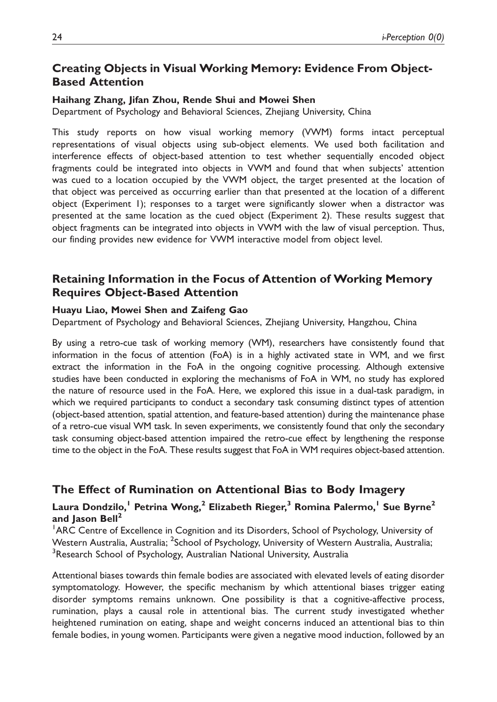## Creating Objects in Visual Working Memory: Evidence From Object-Based Attention

#### Haihang Zhang, Jifan Zhou, Rende Shui and Mowei Shen

Department of Psychology and Behavioral Sciences, Zhejiang University, China

This study reports on how visual working memory (VWM) forms intact perceptual representations of visual objects using sub-object elements. We used both facilitation and interference effects of object-based attention to test whether sequentially encoded object fragments could be integrated into objects in VWM and found that when subjects' attention was cued to a location occupied by the VWM object, the target presented at the location of that object was perceived as occurring earlier than that presented at the location of a different object (Experiment 1); responses to a target were significantly slower when a distractor was presented at the same location as the cued object (Experiment 2). These results suggest that object fragments can be integrated into objects in VWM with the law of visual perception. Thus, our finding provides new evidence for VWM interactive model from object level.

## Retaining Information in the Focus of Attention of Working Memory Requires Object-Based Attention

#### Huayu Liao, Mowei Shen and Zaifeng Gao

Department of Psychology and Behavioral Sciences, Zhejiang University, Hangzhou, China

By using a retro-cue task of working memory (WM), researchers have consistently found that information in the focus of attention (FoA) is in a highly activated state in WM, and we first extract the information in the FoA in the ongoing cognitive processing. Although extensive studies have been conducted in exploring the mechanisms of FoA in WM, no study has explored the nature of resource used in the FoA. Here, we explored this issue in a dual-task paradigm, in which we required participants to conduct a secondary task consuming distinct types of attention (object-based attention, spatial attention, and feature-based attention) during the maintenance phase of a retro-cue visual WM task. In seven experiments, we consistently found that only the secondary task consuming object-based attention impaired the retro-cue effect by lengthening the response time to the object in the FoA. These results suggest that FoA in WM requires object-based attention.

### The Effect of Rumination on Attentional Bias to Body Imagery

### Laura Dondzilo,<sup>1</sup> Petrina Wong,<sup>2</sup> Elizabeth Rieger,<sup>3</sup> Romina Palermo,<sup>1</sup> Sue Byrne<sup>2</sup> and Jason Bell $<sup>2</sup>$ </sup>

<sup>1</sup> ARC Centre of Excellence in Cognition and its Disorders, School of Psychology, University of Western Australia, Australia; <sup>2</sup>School of Psychology, University of Western Australia, Australia; <sup>3</sup>Research School of Psychology, Australian National University, Australia

Attentional biases towards thin female bodies are associated with elevated levels of eating disorder symptomatology. However, the specific mechanism by which attentional biases trigger eating disorder symptoms remains unknown. One possibility is that a cognitive-affective process, rumination, plays a causal role in attentional bias. The current study investigated whether heightened rumination on eating, shape and weight concerns induced an attentional bias to thin female bodies, in young women. Participants were given a negative mood induction, followed by an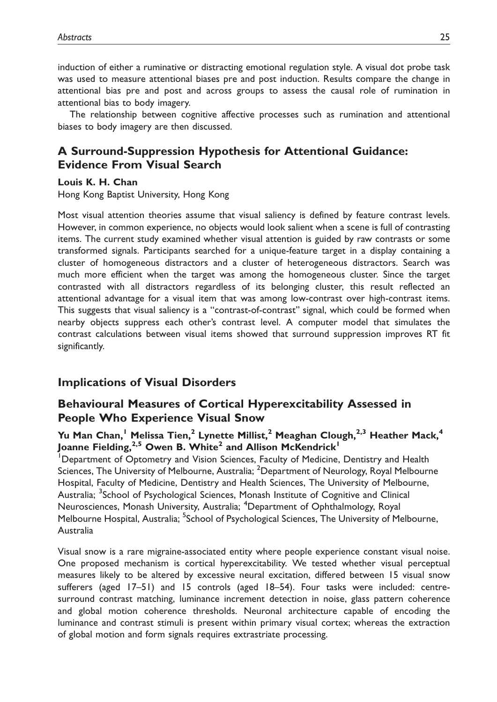induction of either a ruminative or distracting emotional regulation style. A visual dot probe task was used to measure attentional biases pre and post induction. Results compare the change in attentional bias pre and post and across groups to assess the causal role of rumination in attentional bias to body imagery.

The relationship between cognitive affective processes such as rumination and attentional biases to body imagery are then discussed.

## A Surround-Suppression Hypothesis for Attentional Guidance: Evidence From Visual Search

#### Louis K. H. Chan

Hong Kong Baptist University, Hong Kong

Most visual attention theories assume that visual saliency is defined by feature contrast levels. However, in common experience, no objects would look salient when a scene is full of contrasting items. The current study examined whether visual attention is guided by raw contrasts or some transformed signals. Participants searched for a unique-feature target in a display containing a cluster of homogeneous distractors and a cluster of heterogeneous distractors. Search was much more efficient when the target was among the homogeneous cluster. Since the target contrasted with all distractors regardless of its belonging cluster, this result reflected an attentional advantage for a visual item that was among low-contrast over high-contrast items. This suggests that visual saliency is a ''contrast-of-contrast'' signal, which could be formed when nearby objects suppress each other's contrast level. A computer model that simulates the contrast calculations between visual items showed that surround suppression improves RT fit significantly.

### Implications of Visual Disorders

## Behavioural Measures of Cortical Hyperexcitability Assessed in People Who Experience Visual Snow

### Yu Man Chan,<sup>1</sup> Melissa Tien,<sup>2</sup> Lynette Millist,<sup>2</sup> Meaghan Clough,<sup>2,3</sup> Heather Mack,<sup>4</sup> Joanne Fielding,<sup>2,5</sup> Owen B. White<sup>2</sup> and Allison McKendrick<sup>1</sup>

Department of Optometry and Vision Sciences, Faculty of Medicine, Dentistry and Health Sciences, The University of Melbourne, Australia; <sup>2</sup>Department of Neurology, Royal Melbourne Hospital, Faculty of Medicine, Dentistry and Health Sciences, The University of Melbourne, Australia; <sup>3</sup>School of Psychological Sciences, Monash Institute of Cognitive and Clinical Neurosciences, Monash University, Australia; <sup>4</sup>Department of Ophthalmology, Royal Melbourne Hospital, Australia; <sup>5</sup>School of Psychological Sciences, The University of Melbourne, Australia

Visual snow is a rare migraine-associated entity where people experience constant visual noise. One proposed mechanism is cortical hyperexcitability. We tested whether visual perceptual measures likely to be altered by excessive neural excitation, differed between 15 visual snow sufferers (aged 17–51) and 15 controls (aged 18–54). Four tasks were included: centresurround contrast matching, luminance increment detection in noise, glass pattern coherence and global motion coherence thresholds. Neuronal architecture capable of encoding the luminance and contrast stimuli is present within primary visual cortex; whereas the extraction of global motion and form signals requires extrastriate processing.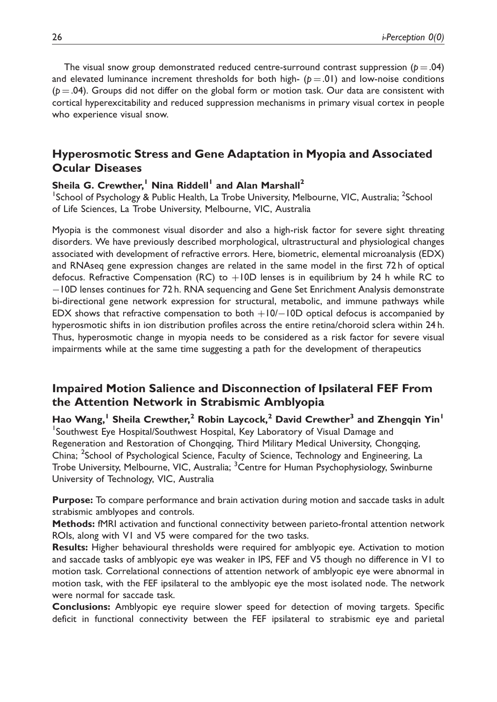The visual snow group demonstrated reduced centre-surround contrast suppression ( $p = .04$ ) and elevated luminance increment thresholds for both high-  $(p = .01)$  and low-noise conditions  $(p = .04)$ . Groups did not differ on the global form or motion task. Our data are consistent with cortical hyperexcitability and reduced suppression mechanisms in primary visual cortex in people who experience visual snow.

## Hyperosmotic Stress and Gene Adaptation in Myopia and Associated Ocular Diseases

### Sheila G. Crewther,<sup>1</sup> Nina Riddell<sup>1</sup> and Alan Marshall<sup>2</sup>

<sup>1</sup>School of Psychology & Public Health, La Trobe University, Melbourne, VIC, Australia; <sup>2</sup>School of Life Sciences, La Trobe University, Melbourne, VIC, Australia

Myopia is the commonest visual disorder and also a high-risk factor for severe sight threating disorders. We have previously described morphological, ultrastructural and physiological changes associated with development of refractive errors. Here, biometric, elemental microanalysis (EDX) and RNAseq gene expression changes are related in the same model in the first 72 h of optical defocus. Refractive Compensation (RC) to  $+10D$  lenses is in equilibrium by 24 h while RC to -10D lenses continues for 72 h. RNA sequencing and Gene Set Enrichment Analysis demonstrate bi-directional gene network expression for structural, metabolic, and immune pathways while EDX shows that refractive compensation to both  $+10/-10D$  optical defocus is accompanied by hyperosmotic shifts in ion distribution profiles across the entire retina/choroid sclera within 24 h. Thus, hyperosmotic change in myopia needs to be considered as a risk factor for severe visual impairments while at the same time suggesting a path for the development of therapeutics

## Impaired Motion Salience and Disconnection of Ipsilateral FEF From the Attention Network in Strabismic Amblyopia

Hao Wang,<sup>1</sup> Sheila Crewther,<sup>2</sup> Robin Laycock,<sup>2</sup> David Crewther<sup>3</sup> and Zhengqin Yin<sup>1</sup> <sup>1</sup>Southwest Eye Hospital/Southwest Hospital, Key Laboratory of Visual Damage and Regeneration and Restoration of Chongqing, Third Military Medical University, Chongqing, China; <sup>2</sup>School of Psychological Science, Faculty of Science, Technology and Engineering, La Trobe University, Melbourne, VIC, Australia; <sup>3</sup>Centre for Human Psychophysiology, Swinburne University of Technology, VIC, Australia

Purpose: To compare performance and brain activation during motion and saccade tasks in adult strabismic amblyopes and controls.

Methods: fMRI activation and functional connectivity between parieto-frontal attention network ROIs, along with V1 and V5 were compared for the two tasks.

Results: Higher behavioural thresholds were required for amblyopic eye. Activation to motion and saccade tasks of amblyopic eye was weaker in IPS, FEF and V5 though no difference in V1 to motion task. Correlational connections of attention network of amblyopic eye were abnormal in motion task, with the FEF ipsilateral to the amblyopic eye the most isolated node. The network were normal for saccade task.

Conclusions: Amblyopic eye require slower speed for detection of moving targets. Specific deficit in functional connectivity between the FEF ipsilateral to strabismic eye and parietal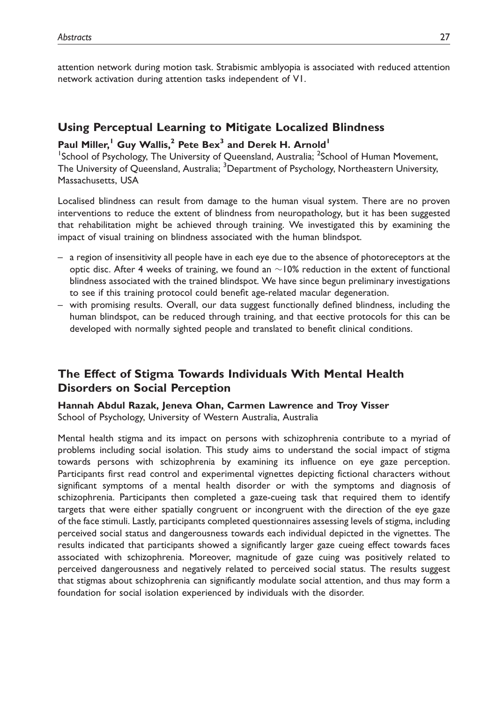attention network during motion task. Strabismic amblyopia is associated with reduced attention network activation during attention tasks independent of V1.

### Using Perceptual Learning to Mitigate Localized Blindness

### Paul Miller,<sup>1</sup> Guy Wallis,<sup>2</sup> Pete Bex<sup>3</sup> and Derek H. Arnold<sup>1</sup>

<sup>1</sup>School of Psychology, The University of Queensland, Australia; <sup>2</sup>School of Human Movement, The University of Queensland, Australia; <sup>3</sup>Department of Psychology, Northeastern University, Massachusetts, USA

Localised blindness can result from damage to the human visual system. There are no proven interventions to reduce the extent of blindness from neuropathology, but it has been suggested that rehabilitation might be achieved through training. We investigated this by examining the impact of visual training on blindness associated with the human blindspot.

- a region of insensitivity all people have in each eye due to the absence of photoreceptors at the optic disc. After 4 weeks of training, we found an  $\sim$ 10% reduction in the extent of functional blindness associated with the trained blindspot. We have since begun preliminary investigations to see if this training protocol could benefit age-related macular degeneration.
- with promising results. Overall, our data suggest functionally defined blindness, including the human blindspot, can be reduced through training, and that eective protocols for this can be developed with normally sighted people and translated to benefit clinical conditions.

## The Effect of Stigma Towards Individuals With Mental Health Disorders on Social Perception

Hannah Abdul Razak, Jeneva Ohan, Carmen Lawrence and Troy Visser School of Psychology, University of Western Australia, Australia

Mental health stigma and its impact on persons with schizophrenia contribute to a myriad of problems including social isolation. This study aims to understand the social impact of stigma towards persons with schizophrenia by examining its influence on eye gaze perception. Participants first read control and experimental vignettes depicting fictional characters without significant symptoms of a mental health disorder or with the symptoms and diagnosis of schizophrenia. Participants then completed a gaze-cueing task that required them to identify targets that were either spatially congruent or incongruent with the direction of the eye gaze of the face stimuli. Lastly, participants completed questionnaires assessing levels of stigma, including perceived social status and dangerousness towards each individual depicted in the vignettes. The results indicated that participants showed a significantly larger gaze cueing effect towards faces associated with schizophrenia. Moreover, magnitude of gaze cuing was positively related to perceived dangerousness and negatively related to perceived social status. The results suggest that stigmas about schizophrenia can significantly modulate social attention, and thus may form a foundation for social isolation experienced by individuals with the disorder.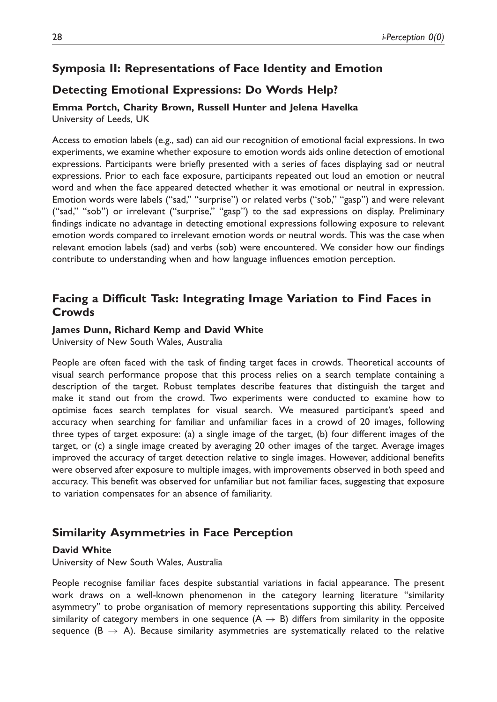### Symposia II: Representations of Face Identity and Emotion

### Detecting Emotional Expressions: Do Words Help?

Emma Portch, Charity Brown, Russell Hunter and Jelena Havelka University of Leeds, UK

Access to emotion labels (e.g., sad) can aid our recognition of emotional facial expressions. In two experiments, we examine whether exposure to emotion words aids online detection of emotional expressions. Participants were briefly presented with a series of faces displaying sad or neutral expressions. Prior to each face exposure, participants repeated out loud an emotion or neutral word and when the face appeared detected whether it was emotional or neutral in expression. Emotion words were labels (''sad,'' ''surprise'') or related verbs (''sob,'' ''gasp'') and were relevant ("sad," "sob") or irrelevant ("surprise," "gasp") to the sad expressions on display. Preliminary findings indicate no advantage in detecting emotional expressions following exposure to relevant emotion words compared to irrelevant emotion words or neutral words. This was the case when relevant emotion labels (sad) and verbs (sob) were encountered. We consider how our findings contribute to understanding when and how language influences emotion perception.

### Facing a Difficult Task: Integrating Image Variation to Find Faces in **Crowds**

#### James Dunn, Richard Kemp and David White

University of New South Wales, Australia

People are often faced with the task of finding target faces in crowds. Theoretical accounts of visual search performance propose that this process relies on a search template containing a description of the target. Robust templates describe features that distinguish the target and make it stand out from the crowd. Two experiments were conducted to examine how to optimise faces search templates for visual search. We measured participant's speed and accuracy when searching for familiar and unfamiliar faces in a crowd of 20 images, following three types of target exposure: (a) a single image of the target, (b) four different images of the target, or (c) a single image created by averaging 20 other images of the target. Average images improved the accuracy of target detection relative to single images. However, additional benefits were observed after exposure to multiple images, with improvements observed in both speed and accuracy. This benefit was observed for unfamiliar but not familiar faces, suggesting that exposure to variation compensates for an absence of familiarity.

### Similarity Asymmetries in Face Perception

#### David White

University of New South Wales, Australia

People recognise familiar faces despite substantial variations in facial appearance. The present work draws on a well-known phenomenon in the category learning literature ''similarity asymmetry'' to probe organisation of memory representations supporting this ability. Perceived similarity of category members in one sequence  $(A \rightarrow B)$  differs from similarity in the opposite sequence ( $B \rightarrow A$ ). Because similarity asymmetries are systematically related to the relative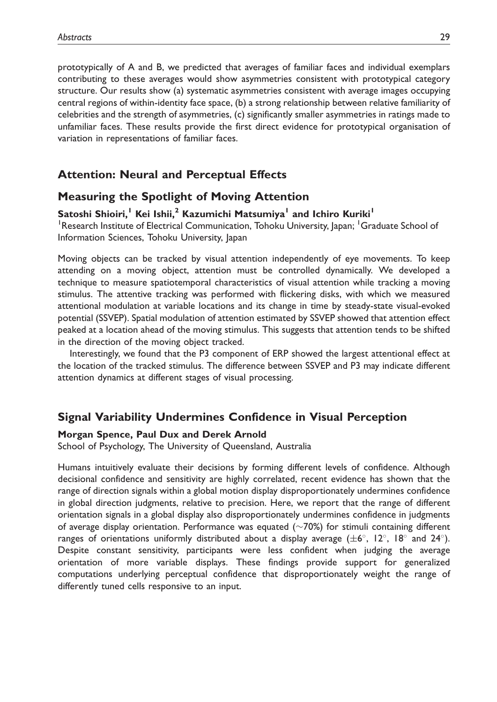prototypically of A and B, we predicted that averages of familiar faces and individual exemplars contributing to these averages would show asymmetries consistent with prototypical category structure. Our results show (a) systematic asymmetries consistent with average images occupying central regions of within-identity face space, (b) a strong relationship between relative familiarity of celebrities and the strength of asymmetries, (c) significantly smaller asymmetries in ratings made to unfamiliar faces. These results provide the first direct evidence for prototypical organisation of variation in representations of familiar faces.

## Attention: Neural and Perceptual Effects

### Measuring the Spotlight of Moving Attention

#### Satoshi Shioiri,<sup>1</sup> Kei Ishii,<sup>2</sup> Kazumichi Matsumiya<sup>1</sup> and Ichiro Kuriki<sup>1</sup>

<sup>1</sup> Research Institute of Electrical Communication, Tohoku University, Japan; <sup>1</sup> Graduate School of Information Sciences, Tohoku University, Japan

Moving objects can be tracked by visual attention independently of eye movements. To keep attending on a moving object, attention must be controlled dynamically. We developed a technique to measure spatiotemporal characteristics of visual attention while tracking a moving stimulus. The attentive tracking was performed with flickering disks, with which we measured attentional modulation at variable locations and its change in time by steady-state visual-evoked potential (SSVEP). Spatial modulation of attention estimated by SSVEP showed that attention effect peaked at a location ahead of the moving stimulus. This suggests that attention tends to be shifted in the direction of the moving object tracked.

Interestingly, we found that the P3 component of ERP showed the largest attentional effect at the location of the tracked stimulus. The difference between SSVEP and P3 may indicate different attention dynamics at different stages of visual processing.

### Signal Variability Undermines Confidence in Visual Perception

#### Morgan Spence, Paul Dux and Derek Arnold

School of Psychology, The University of Queensland, Australia

Humans intuitively evaluate their decisions by forming different levels of confidence. Although decisional confidence and sensitivity are highly correlated, recent evidence has shown that the range of direction signals within a global motion display disproportionately undermines confidence in global direction judgments, relative to precision. Here, we report that the range of different orientation signals in a global display also disproportionately undermines confidence in judgments of average display orientation. Performance was equated  $(\sim 70\%)$  for stimuli containing different ranges of orientations uniformly distributed about a display average ( $\pm 6^{\circ}$ , 12°, 18° and 24°). Despite constant sensitivity, participants were less confident when judging the average orientation of more variable displays. These findings provide support for generalized computations underlying perceptual confidence that disproportionately weight the range of differently tuned cells responsive to an input.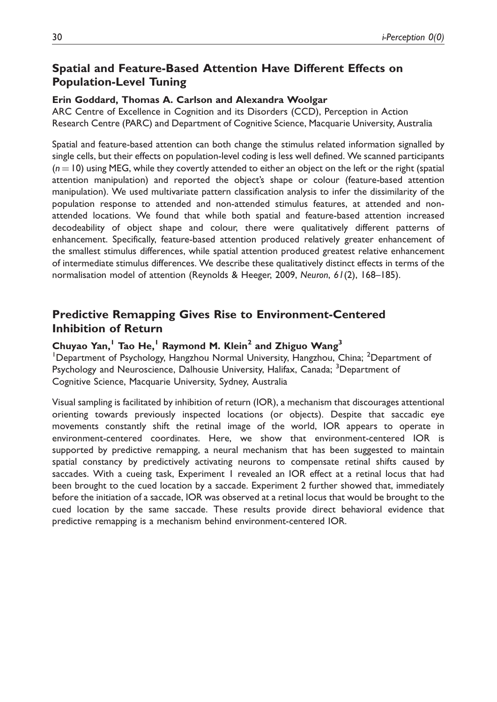## Spatial and Feature-Based Attention Have Different Effects on Population-Level Tuning

#### Erin Goddard, Thomas A. Carlson and Alexandra Woolgar

ARC Centre of Excellence in Cognition and its Disorders (CCD), Perception in Action Research Centre (PARC) and Department of Cognitive Science, Macquarie University, Australia

Spatial and feature-based attention can both change the stimulus related information signalled by single cells, but their effects on population-level coding is less well defined. We scanned participants  $(n = 10)$  using MEG, while they covertly attended to either an object on the left or the right (spatial attention manipulation) and reported the object's shape or colour (feature-based attention manipulation). We used multivariate pattern classification analysis to infer the dissimilarity of the population response to attended and non-attended stimulus features, at attended and nonattended locations. We found that while both spatial and feature-based attention increased decodeability of object shape and colour, there were qualitatively different patterns of enhancement. Specifically, feature-based attention produced relatively greater enhancement of the smallest stimulus differences, while spatial attention produced greatest relative enhancement of intermediate stimulus differences. We describe these qualitatively distinct effects in terms of the normalisation model of attention (Reynolds & Heeger, 2009, Neuron, 61(2), 168–185).

## Predictive Remapping Gives Rise to Environment-Centered Inhibition of Return

#### Chuyao Yan,<sup>1</sup> Tao He,<sup>1</sup> Raymond M. Klein<sup>2</sup> and Zhiguo Wang<sup>3</sup>

<sup>1</sup>Department of Psychology, Hangzhou Normal University, Hangzhou, China; <sup>2</sup>Department of Psychology and Neuroscience, Dalhousie University, Halifax, Canada; <sup>3</sup>Department of Cognitive Science, Macquarie University, Sydney, Australia

Visual sampling is facilitated by inhibition of return (IOR), a mechanism that discourages attentional orienting towards previously inspected locations (or objects). Despite that saccadic eye movements constantly shift the retinal image of the world, IOR appears to operate in environment-centered coordinates. Here, we show that environment-centered IOR is supported by predictive remapping, a neural mechanism that has been suggested to maintain spatial constancy by predictively activating neurons to compensate retinal shifts caused by saccades. With a cueing task, Experiment 1 revealed an IOR effect at a retinal locus that had been brought to the cued location by a saccade. Experiment 2 further showed that, immediately before the initiation of a saccade, IOR was observed at a retinal locus that would be brought to the cued location by the same saccade. These results provide direct behavioral evidence that predictive remapping is a mechanism behind environment-centered IOR.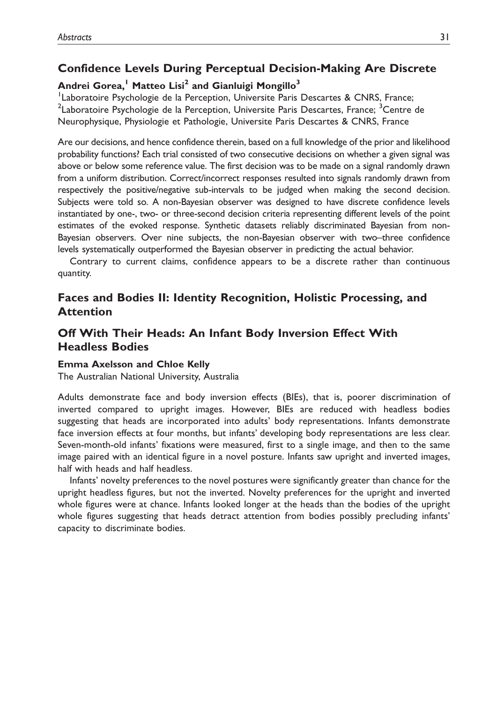## Confidence Levels During Perceptual Decision-Making Are Discrete

## Andrei Gorea,<sup>1</sup> Matteo Lisi<sup>2</sup> and Gianluigi Mongillo<sup>3</sup>

<sup>1</sup> Laboratoire Psychologie de la Perception, Universite Paris Descartes & CNRS, France; <sup>2</sup>Laboratoire Psychologie de la Perception, Universite Paris Descartes, France; <sup>3</sup>Centre de Neurophysique, Physiologie et Pathologie, Universite Paris Descartes & CNRS, France

Are our decisions, and hence confidence therein, based on a full knowledge of the prior and likelihood probability functions? Each trial consisted of two consecutive decisions on whether a given signal was above or below some reference value. The first decision was to be made on a signal randomly drawn from a uniform distribution. Correct/incorrect responses resulted into signals randomly drawn from respectively the positive/negative sub-intervals to be judged when making the second decision. Subjects were told so. A non-Bayesian observer was designed to have discrete confidence levels instantiated by one-, two- or three-second decision criteria representing different levels of the point estimates of the evoked response. Synthetic datasets reliably discriminated Bayesian from non-Bayesian observers. Over nine subjects, the non-Bayesian observer with two–three confidence levels systematically outperformed the Bayesian observer in predicting the actual behavior.

Contrary to current claims, confidence appears to be a discrete rather than continuous quantity.

## Faces and Bodies II: Identity Recognition, Holistic Processing, and Attention

## Off With Their Heads: An Infant Body Inversion Effect With Headless Bodies

### Emma Axelsson and Chloe Kelly

The Australian National University, Australia

Adults demonstrate face and body inversion effects (BIEs), that is, poorer discrimination of inverted compared to upright images. However, BIEs are reduced with headless bodies suggesting that heads are incorporated into adults' body representations. Infants demonstrate face inversion effects at four months, but infants' developing body representations are less clear. Seven-month-old infants' fixations were measured, first to a single image, and then to the same image paired with an identical figure in a novel posture. Infants saw upright and inverted images, half with heads and half headless.

Infants' novelty preferences to the novel postures were significantly greater than chance for the upright headless figures, but not the inverted. Novelty preferences for the upright and inverted whole figures were at chance. Infants looked longer at the heads than the bodies of the upright whole figures suggesting that heads detract attention from bodies possibly precluding infants' capacity to discriminate bodies.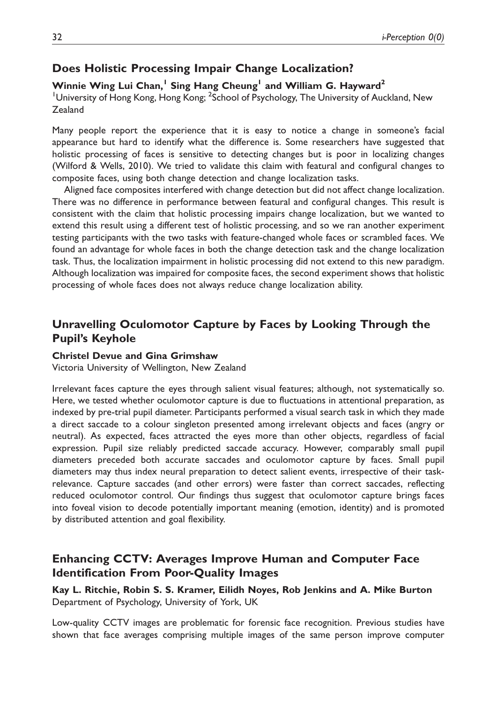### Does Holistic Processing Impair Change Localization?

#### Winnie Wing Lui Chan,<sup>1</sup> Sing Hang Cheung<sup>1</sup> and William G. Hayward<sup>2</sup>

<sup>1</sup> University of Hong Kong, Hong Kong; <sup>2</sup>School of Psychology, The University of Auckland, New Zealand

Many people report the experience that it is easy to notice a change in someone's facial appearance but hard to identify what the difference is. Some researchers have suggested that holistic processing of faces is sensitive to detecting changes but is poor in localizing changes (Wilford & Wells, 2010). We tried to validate this claim with featural and configural changes to composite faces, using both change detection and change localization tasks.

Aligned face composites interfered with change detection but did not affect change localization. There was no difference in performance between featural and configural changes. This result is consistent with the claim that holistic processing impairs change localization, but we wanted to extend this result using a different test of holistic processing, and so we ran another experiment testing participants with the two tasks with feature-changed whole faces or scrambled faces. We found an advantage for whole faces in both the change detection task and the change localization task. Thus, the localization impairment in holistic processing did not extend to this new paradigm. Although localization was impaired for composite faces, the second experiment shows that holistic processing of whole faces does not always reduce change localization ability.

## Unravelling Oculomotor Capture by Faces by Looking Through the Pupil's Keyhole

#### Christel Devue and Gina Grimshaw

Victoria University of Wellington, New Zealand

Irrelevant faces capture the eyes through salient visual features; although, not systematically so. Here, we tested whether oculomotor capture is due to fluctuations in attentional preparation, as indexed by pre-trial pupil diameter. Participants performed a visual search task in which they made a direct saccade to a colour singleton presented among irrelevant objects and faces (angry or neutral). As expected, faces attracted the eyes more than other objects, regardless of facial expression. Pupil size reliably predicted saccade accuracy. However, comparably small pupil diameters preceded both accurate saccades and oculomotor capture by faces. Small pupil diameters may thus index neural preparation to detect salient events, irrespective of their taskrelevance. Capture saccades (and other errors) were faster than correct saccades, reflecting reduced oculomotor control. Our findings thus suggest that oculomotor capture brings faces into foveal vision to decode potentially important meaning (emotion, identity) and is promoted by distributed attention and goal flexibility.

## Enhancing CCTV: Averages Improve Human and Computer Face Identification From Poor-Quality Images

Kay L. Ritchie, Robin S. S. Kramer, Eilidh Noyes, Rob Jenkins and A. Mike Burton Department of Psychology, University of York, UK

Low-quality CCTV images are problematic for forensic face recognition. Previous studies have shown that face averages comprising multiple images of the same person improve computer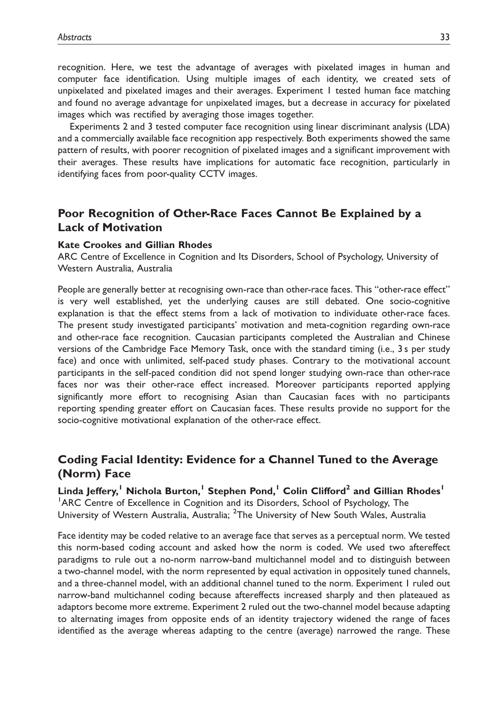recognition. Here, we test the advantage of averages with pixelated images in human and computer face identification. Using multiple images of each identity, we created sets of unpixelated and pixelated images and their averages. Experiment 1 tested human face matching and found no average advantage for unpixelated images, but a decrease in accuracy for pixelated images which was rectified by averaging those images together.

Experiments 2 and 3 tested computer face recognition using linear discriminant analysis (LDA) and a commercially available face recognition app respectively. Both experiments showed the same pattern of results, with poorer recognition of pixelated images and a significant improvement with their averages. These results have implications for automatic face recognition, particularly in identifying faces from poor-quality CCTV images.

## Poor Recognition of Other-Race Faces Cannot Be Explained by a Lack of Motivation

#### Kate Crookes and Gillian Rhodes

ARC Centre of Excellence in Cognition and Its Disorders, School of Psychology, University of Western Australia, Australia

People are generally better at recognising own-race than other-race faces. This ''other-race effect'' is very well established, yet the underlying causes are still debated. One socio-cognitive explanation is that the effect stems from a lack of motivation to individuate other-race faces. The present study investigated participants' motivation and meta-cognition regarding own-race and other-race face recognition. Caucasian participants completed the Australian and Chinese versions of the Cambridge Face Memory Task, once with the standard timing (i.e., 3 s per study face) and once with unlimited, self-paced study phases. Contrary to the motivational account participants in the self-paced condition did not spend longer studying own-race than other-race faces nor was their other-race effect increased. Moreover participants reported applying significantly more effort to recognising Asian than Caucasian faces with no participants reporting spending greater effort on Caucasian faces. These results provide no support for the socio-cognitive motivational explanation of the other-race effect.

### Coding Facial Identity: Evidence for a Channel Tuned to the Average (Norm) Face

Linda Jeffery,<sup>1</sup> Nichola Burton,<sup>1</sup> Stephen Pond,<sup>1</sup> Colin Clifford<sup>2</sup> and Gillian Rhodes<sup>1</sup> <sup>1</sup>ARC Centre of Excellence in Cognition and its Disorders, School of Psychology, The University of Western Australia, Australia; <sup>2</sup>The University of New South Wales, Australia

Face identity may be coded relative to an average face that serves as a perceptual norm. We tested this norm-based coding account and asked how the norm is coded. We used two aftereffect paradigms to rule out a no-norm narrow-band multichannel model and to distinguish between a two-channel model, with the norm represented by equal activation in oppositely tuned channels, and a three-channel model, with an additional channel tuned to the norm. Experiment 1 ruled out narrow-band multichannel coding because aftereffects increased sharply and then plateaued as adaptors become more extreme. Experiment 2 ruled out the two-channel model because adapting to alternating images from opposite ends of an identity trajectory widened the range of faces identified as the average whereas adapting to the centre (average) narrowed the range. These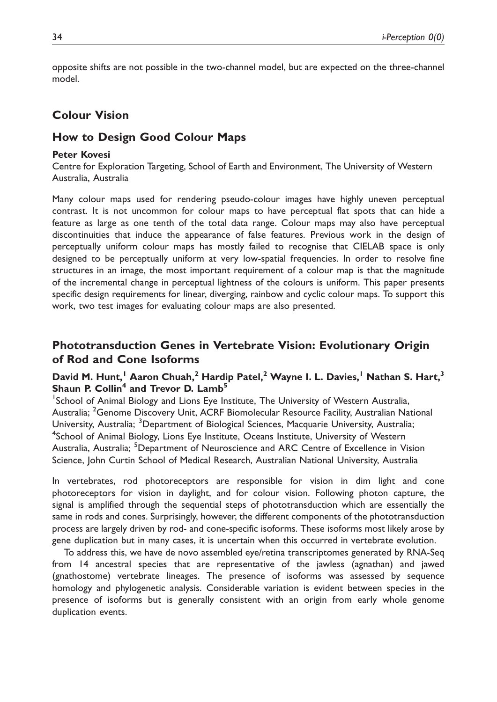opposite shifts are not possible in the two-channel model, but are expected on the three-channel model.

### Colour Vision

### How to Design Good Colour Maps

#### Peter Kovesi

Centre for Exploration Targeting, School of Earth and Environment, The University of Western Australia, Australia

Many colour maps used for rendering pseudo-colour images have highly uneven perceptual contrast. It is not uncommon for colour maps to have perceptual flat spots that can hide a feature as large as one tenth of the total data range. Colour maps may also have perceptual discontinuities that induce the appearance of false features. Previous work in the design of perceptually uniform colour maps has mostly failed to recognise that CIELAB space is only designed to be perceptually uniform at very low-spatial frequencies. In order to resolve fine structures in an image, the most important requirement of a colour map is that the magnitude of the incremental change in perceptual lightness of the colours is uniform. This paper presents specific design requirements for linear, diverging, rainbow and cyclic colour maps. To support this work, two test images for evaluating colour maps are also presented.

## Phototransduction Genes in Vertebrate Vision: Evolutionary Origin of Rod and Cone Isoforms

### David M. Hunt,<sup>1</sup> Aaron Chuah,<sup>2</sup> Hardip Patel,<sup>2</sup> Wayne I. L. Davies,<sup>1</sup> Nathan S. Hart,<sup>3</sup> Shaun P. Collin<sup>4</sup> and Trevor D. Lamb<sup>5</sup>

<sup>1</sup>School of Animal Biology and Lions Eye Institute, The University of Western Australia, Australia; <sup>2</sup>Genome Discovery Unit, ACRF Biomolecular Resource Facility, Australian National University, Australia; <sup>3</sup>Department of Biological Sciences, Macquarie University, Australia; <sup>4</sup>School of Animal Biology, Lions Eye Institute, Oceans Institute, University of Western Australia, Australia; <sup>5</sup>Department of Neuroscience and ARC Centre of Excellence in Vision Science, John Curtin School of Medical Research, Australian National University, Australia

In vertebrates, rod photoreceptors are responsible for vision in dim light and cone photoreceptors for vision in daylight, and for colour vision. Following photon capture, the signal is amplified through the sequential steps of phototransduction which are essentially the same in rods and cones. Surprisingly, however, the different components of the phototransduction process are largely driven by rod- and cone-specific isoforms. These isoforms most likely arose by gene duplication but in many cases, it is uncertain when this occurred in vertebrate evolution.

To address this, we have de novo assembled eye/retina transcriptomes generated by RNA-Seq from 14 ancestral species that are representative of the jawless (agnathan) and jawed (gnathostome) vertebrate lineages. The presence of isoforms was assessed by sequence homology and phylogenetic analysis. Considerable variation is evident between species in the presence of isoforms but is generally consistent with an origin from early whole genome duplication events.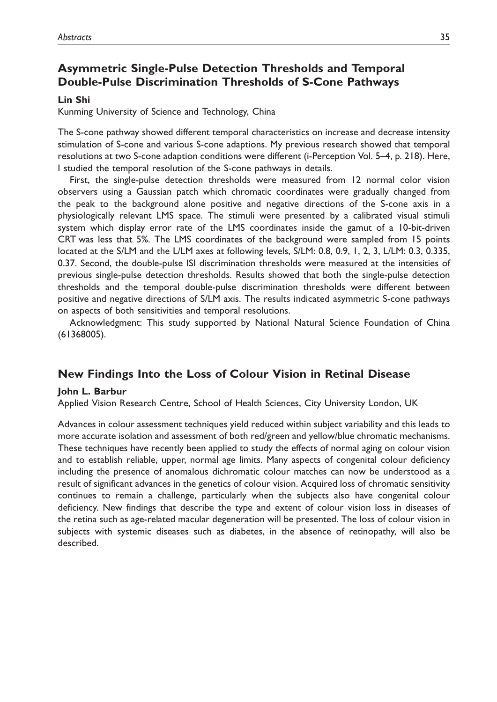## Asymmetric Single-Pulse Detection Thresholds and Temporal Double-Pulse Discrimination Thresholds of S-Cone Pathways

#### Lin Shi

Kunming University of Science and Technology, China

The S-cone pathway showed different temporal characteristics on increase and decrease intensity stimulation of S-cone and various S-cone adaptions. My previous research showed that temporal resolutions at two S-cone adaption conditions were different (i-Perception Vol. 5–4, p. 218). Here, I studied the temporal resolution of the S-cone pathways in details.

First, the single-pulse detection thresholds were measured from 12 normal color vision observers using a Gaussian patch which chromatic coordinates were gradually changed from the peak to the background alone positive and negative directions of the S-cone axis in a physiologically relevant LMS space. The stimuli were presented by a calibrated visual stimuli system which display error rate of the LMS coordinates inside the gamut of a 10-bit-driven CRT was less that 5%. The LMS coordinates of the background were sampled from 15 points located at the S/LM and the L/LM axes at following levels, S/LM: 0.8, 0.9, 1, 2, 3, L/LM: 0.3, 0.335, 0.37. Second, the double-pulse ISI discrimination thresholds were measured at the intensities of previous single-pulse detection thresholds. Results showed that both the single-pulse detection thresholds and the temporal double-pulse discrimination thresholds were different between positive and negative directions of S/LM axis. The results indicated asymmetric S-cone pathways on aspects of both sensitivities and temporal resolutions.

Acknowledgment: This study supported by National Natural Science Foundation of China (61368005).

### New Findings Into the Loss of Colour Vision in Retinal Disease

#### John L. Barbur

Applied Vision Research Centre, School of Health Sciences, City University London, UK

Advances in colour assessment techniques yield reduced within subject variability and this leads to more accurate isolation and assessment of both red/green and yellow/blue chromatic mechanisms. These techniques have recently been applied to study the effects of normal aging on colour vision and to establish reliable, upper, normal age limits. Many aspects of congenital colour deficiency including the presence of anomalous dichromatic colour matches can now be understood as a result of significant advances in the genetics of colour vision. Acquired loss of chromatic sensitivity continues to remain a challenge, particularly when the subjects also have congenital colour deficiency. New findings that describe the type and extent of colour vision loss in diseases of the retina such as age-related macular degeneration will be presented. The loss of colour vision in subjects with systemic diseases such as diabetes, in the absence of retinopathy, will also be described.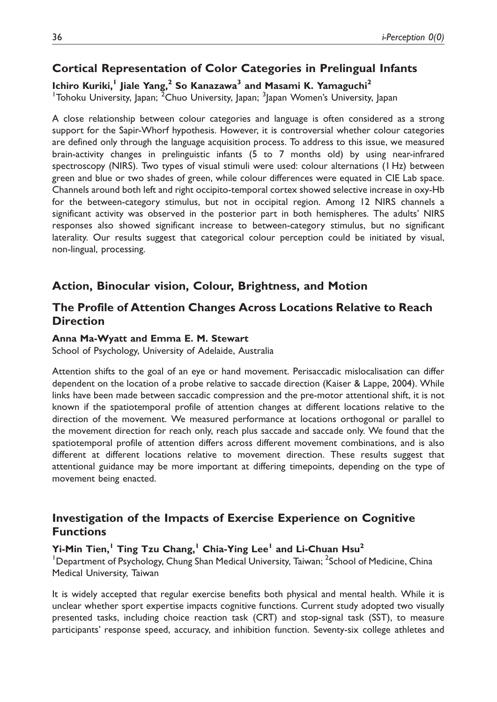## Cortical Representation of Color Categories in Prelingual Infants

Ichiro Kuriki,<sup>1</sup> Jiale Yang,<sup>2</sup> So Kanazawa<sup>3</sup> and Masami K. Yamaguchi<sup>2</sup> <sup>1</sup>Tohoku University, Japan; <sup>2</sup>Chuo University, Japan; <sup>3</sup>Japan Women's University, Japan

A close relationship between colour categories and language is often considered as a strong support for the Sapir-Whorf hypothesis. However, it is controversial whether colour categories are defined only through the language acquisition process. To address to this issue, we measured brain-activity changes in prelinguistic infants (5 to 7 months old) by using near-infrared spectroscopy (NIRS). Two types of visual stimuli were used: colour alternations (1 Hz) between green and blue or two shades of green, while colour differences were equated in CIE Lab space. Channels around both left and right occipito-temporal cortex showed selective increase in oxy-Hb for the between-category stimulus, but not in occipital region. Among 12 NIRS channels a significant activity was observed in the posterior part in both hemispheres. The adults' NIRS responses also showed significant increase to between-category stimulus, but no significant laterality. Our results suggest that categorical colour perception could be initiated by visual, non-lingual, processing.

## Action, Binocular vision, Colour, Brightness, and Motion

## The Profile of Attention Changes Across Locations Relative to Reach **Direction**

### Anna Ma-Wyatt and Emma E. M. Stewart

School of Psychology, University of Adelaide, Australia

Attention shifts to the goal of an eye or hand movement. Perisaccadic mislocalisation can differ dependent on the location of a probe relative to saccade direction (Kaiser & Lappe, 2004). While links have been made between saccadic compression and the pre-motor attentional shift, it is not known if the spatiotemporal profile of attention changes at different locations relative to the direction of the movement. We measured performance at locations orthogonal or parallel to the movement direction for reach only, reach plus saccade and saccade only. We found that the spatiotemporal profile of attention differs across different movement combinations, and is also different at different locations relative to movement direction. These results suggest that attentional guidance may be more important at differing timepoints, depending on the type of movement being enacted.

## Investigation of the Impacts of Exercise Experience on Cognitive Functions

### Yi-Min Tien,<sup>1</sup> Ting Tzu Chang,<sup>1</sup> Chia-Ying Lee<sup>1</sup> and Li-Chuan Hsu<sup>2</sup>

<sup>1</sup>Department of Psychology, Chung Shan Medical University, Taiwan; <sup>2</sup>School of Medicine, China Medical University, Taiwan

It is widely accepted that regular exercise benefits both physical and mental health. While it is unclear whether sport expertise impacts cognitive functions. Current study adopted two visually presented tasks, including choice reaction task (CRT) and stop-signal task (SST), to measure participants' response speed, accuracy, and inhibition function. Seventy-six college athletes and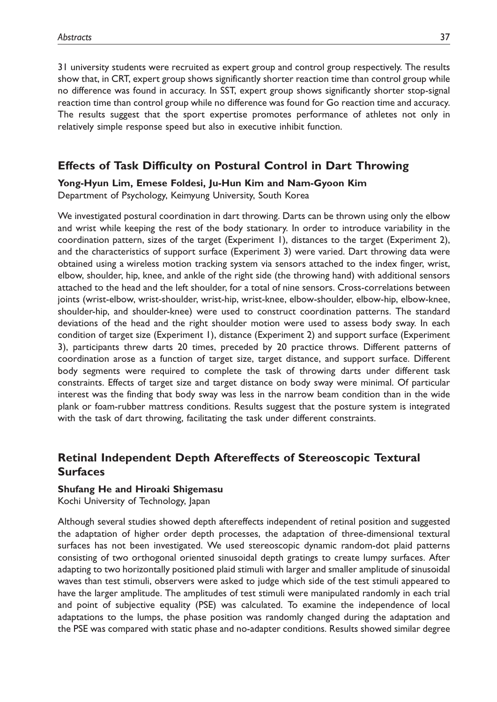31 university students were recruited as expert group and control group respectively. The results show that, in CRT, expert group shows significantly shorter reaction time than control group while no difference was found in accuracy. In SST, expert group shows significantly shorter stop-signal reaction time than control group while no difference was found for Go reaction time and accuracy. The results suggest that the sport expertise promotes performance of athletes not only in relatively simple response speed but also in executive inhibit function.

## Effects of Task Difficulty on Postural Control in Dart Throwing

Yong-Hyun Lim, Emese Foldesi, Ju-Hun Kim and Nam-Gyoon Kim Department of Psychology, Keimyung University, South Korea

We investigated postural coordination in dart throwing. Darts can be thrown using only the elbow and wrist while keeping the rest of the body stationary. In order to introduce variability in the coordination pattern, sizes of the target (Experiment 1), distances to the target (Experiment 2), and the characteristics of support surface (Experiment 3) were varied. Dart throwing data were obtained using a wireless motion tracking system via sensors attached to the index finger, wrist, elbow, shoulder, hip, knee, and ankle of the right side (the throwing hand) with additional sensors attached to the head and the left shoulder, for a total of nine sensors. Cross-correlations between joints (wrist-elbow, wrist-shoulder, wrist-hip, wrist-knee, elbow-shoulder, elbow-hip, elbow-knee, shoulder-hip, and shoulder-knee) were used to construct coordination patterns. The standard deviations of the head and the right shoulder motion were used to assess body sway. In each condition of target size (Experiment 1), distance (Experiment 2) and support surface (Experiment 3), participants threw darts 20 times, preceded by 20 practice throws. Different patterns of coordination arose as a function of target size, target distance, and support surface. Different body segments were required to complete the task of throwing darts under different task constraints. Effects of target size and target distance on body sway were minimal. Of particular interest was the finding that body sway was less in the narrow beam condition than in the wide plank or foam-rubber mattress conditions. Results suggest that the posture system is integrated with the task of dart throwing, facilitating the task under different constraints.

## Retinal Independent Depth Aftereffects of Stereoscopic Textural Surfaces

#### Shufang He and Hiroaki Shigemasu

Kochi University of Technology, Japan

Although several studies showed depth aftereffects independent of retinal position and suggested the adaptation of higher order depth processes, the adaptation of three-dimensional textural surfaces has not been investigated. We used stereoscopic dynamic random-dot plaid patterns consisting of two orthogonal oriented sinusoidal depth gratings to create lumpy surfaces. After adapting to two horizontally positioned plaid stimuli with larger and smaller amplitude of sinusoidal waves than test stimuli, observers were asked to judge which side of the test stimuli appeared to have the larger amplitude. The amplitudes of test stimuli were manipulated randomly in each trial and point of subjective equality (PSE) was calculated. To examine the independence of local adaptations to the lumps, the phase position was randomly changed during the adaptation and the PSE was compared with static phase and no-adapter conditions. Results showed similar degree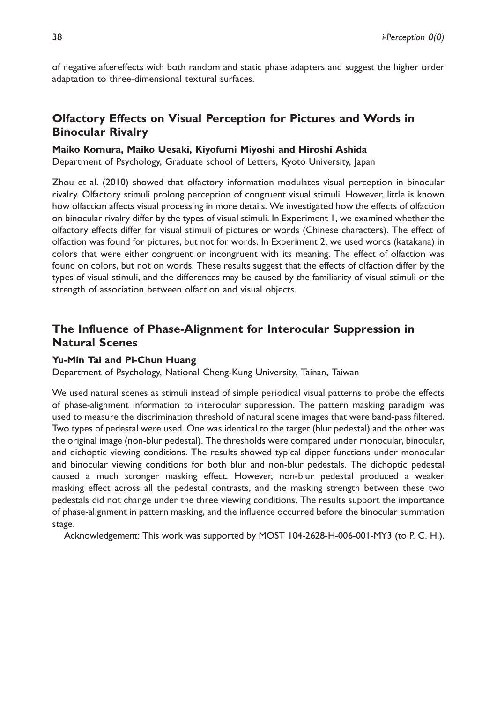of negative aftereffects with both random and static phase adapters and suggest the higher order adaptation to three-dimensional textural surfaces.

## Olfactory Effects on Visual Perception for Pictures and Words in Binocular Rivalry

#### Maiko Komura, Maiko Uesaki, Kiyofumi Miyoshi and Hiroshi Ashida

Department of Psychology, Graduate school of Letters, Kyoto University, Japan

Zhou et al. (2010) showed that olfactory information modulates visual perception in binocular rivalry. Olfactory stimuli prolong perception of congruent visual stimuli. However, little is known how olfaction affects visual processing in more details. We investigated how the effects of olfaction on binocular rivalry differ by the types of visual stimuli. In Experiment 1, we examined whether the olfactory effects differ for visual stimuli of pictures or words (Chinese characters). The effect of olfaction was found for pictures, but not for words. In Experiment 2, we used words (katakana) in colors that were either congruent or incongruent with its meaning. The effect of olfaction was found on colors, but not on words. These results suggest that the effects of olfaction differ by the types of visual stimuli, and the differences may be caused by the familiarity of visual stimuli or the strength of association between olfaction and visual objects.

## The Influence of Phase-Alignment for Interocular Suppression in Natural Scenes

#### Yu-Min Tai and Pi-Chun Huang

Department of Psychology, National Cheng-Kung University, Tainan, Taiwan

We used natural scenes as stimuli instead of simple periodical visual patterns to probe the effects of phase-alignment information to interocular suppression. The pattern masking paradigm was used to measure the discrimination threshold of natural scene images that were band-pass filtered. Two types of pedestal were used. One was identical to the target (blur pedestal) and the other was the original image (non-blur pedestal). The thresholds were compared under monocular, binocular, and dichoptic viewing conditions. The results showed typical dipper functions under monocular and binocular viewing conditions for both blur and non-blur pedestals. The dichoptic pedestal caused a much stronger masking effect. However, non-blur pedestal produced a weaker masking effect across all the pedestal contrasts, and the masking strength between these two pedestals did not change under the three viewing conditions. The results support the importance of phase-alignment in pattern masking, and the influence occurred before the binocular summation stage.

Acknowledgement: This work was supported by MOST 104-2628-H-006-001-MY3 (to P. C. H.).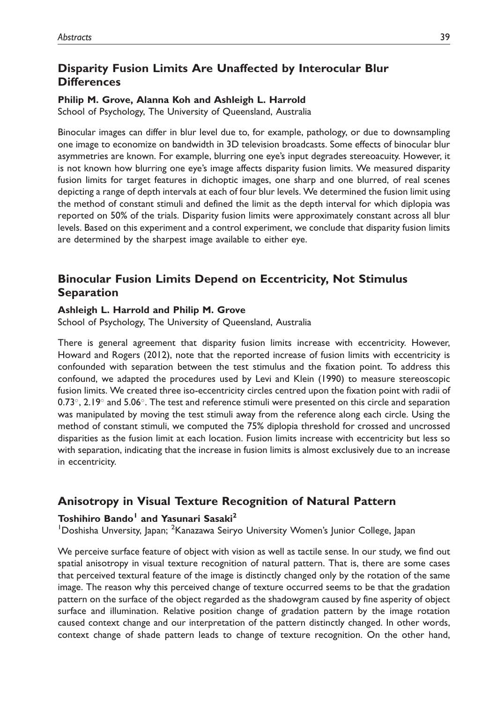## Disparity Fusion Limits Are Unaffected by Interocular Blur **Differences**

#### Philip M. Grove, Alanna Koh and Ashleigh L. Harrold

School of Psychology, The University of Queensland, Australia

Binocular images can differ in blur level due to, for example, pathology, or due to downsampling one image to economize on bandwidth in 3D television broadcasts. Some effects of binocular blur asymmetries are known. For example, blurring one eye's input degrades stereoacuity. However, it is not known how blurring one eye's image affects disparity fusion limits. We measured disparity fusion limits for target features in dichoptic images, one sharp and one blurred, of real scenes depicting a range of depth intervals at each of four blur levels. We determined the fusion limit using the method of constant stimuli and defined the limit as the depth interval for which diplopia was reported on 50% of the trials. Disparity fusion limits were approximately constant across all blur levels. Based on this experiment and a control experiment, we conclude that disparity fusion limits are determined by the sharpest image available to either eye.

## Binocular Fusion Limits Depend on Eccentricity, Not Stimulus Separation

#### Ashleigh L. Harrold and Philip M. Grove

School of Psychology, The University of Queensland, Australia

There is general agreement that disparity fusion limits increase with eccentricity. However, Howard and Rogers (2012), note that the reported increase of fusion limits with eccentricity is confounded with separation between the test stimulus and the fixation point. To address this confound, we adapted the procedures used by Levi and Klein (1990) to measure stereoscopic fusion limits. We created three iso-eccentricity circles centred upon the fixation point with radii of  $0.73^{\circ}$ , 2.19 $^{\circ}$  and 5.06 $^{\circ}$ . The test and reference stimuli were presented on this circle and separation was manipulated by moving the test stimuli away from the reference along each circle. Using the method of constant stimuli, we computed the 75% diplopia threshold for crossed and uncrossed disparities as the fusion limit at each location. Fusion limits increase with eccentricity but less so with separation, indicating that the increase in fusion limits is almost exclusively due to an increase in eccentricity.

### Anisotropy in Visual Texture Recognition of Natural Pattern

#### Toshihiro Bando<sup>1</sup> and Yasunari Sasaki<sup>2</sup>

<sup>1</sup>Doshisha Unversity, Japan; <sup>2</sup>Kanazawa Seiryo University Women's Junior College, Japan

We perceive surface feature of object with vision as well as tactile sense. In our study, we find out spatial anisotropy in visual texture recognition of natural pattern. That is, there are some cases that perceived textural feature of the image is distinctly changed only by the rotation of the same image. The reason why this perceived change of texture occurred seems to be that the gradation pattern on the surface of the object regarded as the shadowgram caused by fine asperity of object surface and illumination. Relative position change of gradation pattern by the image rotation caused context change and our interpretation of the pattern distinctly changed. In other words, context change of shade pattern leads to change of texture recognition. On the other hand,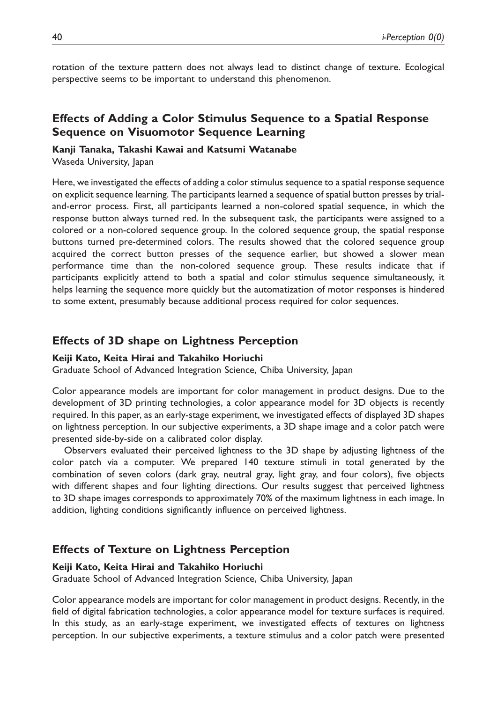rotation of the texture pattern does not always lead to distinct change of texture. Ecological perspective seems to be important to understand this phenomenon.

## Effects of Adding a Color Stimulus Sequence to a Spatial Response Sequence on Visuomotor Sequence Learning

#### Kanji Tanaka, Takashi Kawai and Katsumi Watanabe

Waseda University, Japan

Here, we investigated the effects of adding a color stimulus sequence to a spatial response sequence on explicit sequence learning. The participants learned a sequence of spatial button presses by trialand-error process. First, all participants learned a non-colored spatial sequence, in which the response button always turned red. In the subsequent task, the participants were assigned to a colored or a non-colored sequence group. In the colored sequence group, the spatial response buttons turned pre-determined colors. The results showed that the colored sequence group acquired the correct button presses of the sequence earlier, but showed a slower mean performance time than the non-colored sequence group. These results indicate that if participants explicitly attend to both a spatial and color stimulus sequence simultaneously, it helps learning the sequence more quickly but the automatization of motor responses is hindered to some extent, presumably because additional process required for color sequences.

#### Effects of 3D shape on Lightness Perception

#### Keiji Kato, Keita Hirai and Takahiko Horiuchi

Graduate School of Advanced Integration Science, Chiba University, Japan

Color appearance models are important for color management in product designs. Due to the development of 3D printing technologies, a color appearance model for 3D objects is recently required. In this paper, as an early-stage experiment, we investigated effects of displayed 3D shapes on lightness perception. In our subjective experiments, a 3D shape image and a color patch were presented side-by-side on a calibrated color display.

Observers evaluated their perceived lightness to the 3D shape by adjusting lightness of the color patch via a computer. We prepared 140 texture stimuli in total generated by the combination of seven colors (dark gray, neutral gray, light gray, and four colors), five objects with different shapes and four lighting directions. Our results suggest that perceived lightness to 3D shape images corresponds to approximately 70% of the maximum lightness in each image. In addition, lighting conditions significantly influence on perceived lightness.

### Effects of Texture on Lightness Perception

#### Keiji Kato, Keita Hirai and Takahiko Horiuchi

Graduate School of Advanced Integration Science, Chiba University, Japan

Color appearance models are important for color management in product designs. Recently, in the field of digital fabrication technologies, a color appearance model for texture surfaces is required. In this study, as an early-stage experiment, we investigated effects of textures on lightness perception. In our subjective experiments, a texture stimulus and a color patch were presented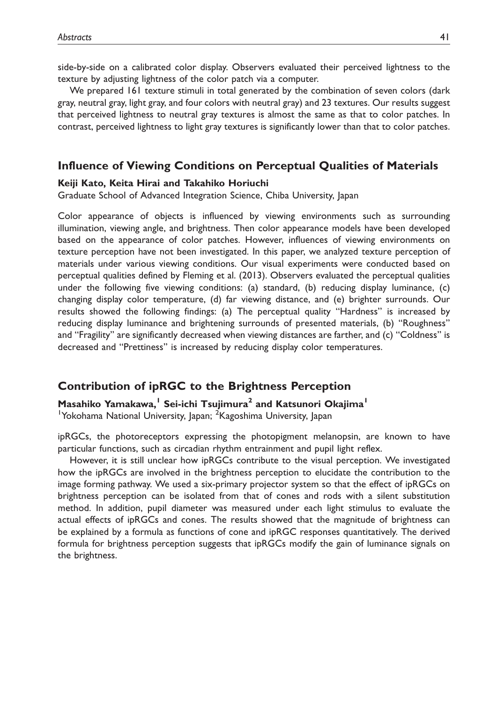side-by-side on a calibrated color display. Observers evaluated their perceived lightness to the texture by adjusting lightness of the color patch via a computer.

We prepared 161 texture stimuli in total generated by the combination of seven colors (dark gray, neutral gray, light gray, and four colors with neutral gray) and 23 textures. Our results suggest that perceived lightness to neutral gray textures is almost the same as that to color patches. In contrast, perceived lightness to light gray textures is significantly lower than that to color patches.

#### Influence of Viewing Conditions on Perceptual Qualities of Materials

#### Keiji Kato, Keita Hirai and Takahiko Horiuchi

Graduate School of Advanced Integration Science, Chiba University, Japan

Color appearance of objects is influenced by viewing environments such as surrounding illumination, viewing angle, and brightness. Then color appearance models have been developed based on the appearance of color patches. However, influences of viewing environments on texture perception have not been investigated. In this paper, we analyzed texture perception of materials under various viewing conditions. Our visual experiments were conducted based on perceptual qualities defined by Fleming et al. (2013). Observers evaluated the perceptual qualities under the following five viewing conditions: (a) standard, (b) reducing display luminance, (c) changing display color temperature, (d) far viewing distance, and (e) brighter surrounds. Our results showed the following findings: (a) The perceptual quality ''Hardness'' is increased by reducing display luminance and brightening surrounds of presented materials, (b) ''Roughness'' and ''Fragility'' are significantly decreased when viewing distances are farther, and (c) ''Coldness'' is decreased and ''Prettiness'' is increased by reducing display color temperatures.

### Contribution of ipRGC to the Brightness Perception

Masahiko Yamakawa,<sup>1</sup> Sei-ichi Tsujimura<sup>2</sup> and Katsunori Okajima<sup>1</sup> <sup>1</sup>Yokohama National University, Japan; <sup>2</sup>Kagoshima University, Japan

ipRGCs, the photoreceptors expressing the photopigment melanopsin, are known to have particular functions, such as circadian rhythm entrainment and pupil light reflex.

However, it is still unclear how ipRGCs contribute to the visual perception. We investigated how the ipRGCs are involved in the brightness perception to elucidate the contribution to the image forming pathway. We used a six-primary projector system so that the effect of ipRGCs on brightness perception can be isolated from that of cones and rods with a silent substitution method. In addition, pupil diameter was measured under each light stimulus to evaluate the actual effects of ipRGCs and cones. The results showed that the magnitude of brightness can be explained by a formula as functions of cone and ipRGC responses quantitatively. The derived formula for brightness perception suggests that ipRGCs modify the gain of luminance signals on the brightness.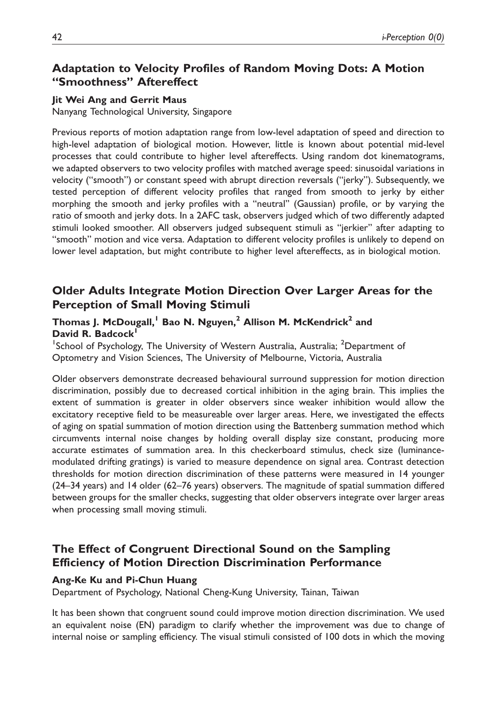## Adaptation to Velocity Profiles of Random Moving Dots: A Motion ''Smoothness'' Aftereffect

#### Jit Wei Ang and Gerrit Maus

Nanyang Technological University, Singapore

Previous reports of motion adaptation range from low-level adaptation of speed and direction to high-level adaptation of biological motion. However, little is known about potential mid-level processes that could contribute to higher level aftereffects. Using random dot kinematograms, we adapted observers to two velocity profiles with matched average speed: sinusoidal variations in velocity (''smooth'') or constant speed with abrupt direction reversals (''jerky''). Subsequently, we tested perception of different velocity profiles that ranged from smooth to jerky by either morphing the smooth and jerky profiles with a ''neutral'' (Gaussian) profile, or by varying the ratio of smooth and jerky dots. In a 2AFC task, observers judged which of two differently adapted stimuli looked smoother. All observers judged subsequent stimuli as ''jerkier'' after adapting to ''smooth'' motion and vice versa. Adaptation to different velocity profiles is unlikely to depend on lower level adaptation, but might contribute to higher level aftereffects, as in biological motion.

## Older Adults Integrate Motion Direction Over Larger Areas for the Perception of Small Moving Stimuli

### Thomas J. McDougall,<sup>1</sup> Bao N. Nguyen,<sup>2</sup> Allison M. McKendrick<sup>2</sup> and David R. Badcock<sup>1</sup>

<sup>1</sup>School of Psychology, The University of Western Australia, Australia; <sup>2</sup>Department of Optometry and Vision Sciences, The University of Melbourne, Victoria, Australia

Older observers demonstrate decreased behavioural surround suppression for motion direction discrimination, possibly due to decreased cortical inhibition in the aging brain. This implies the extent of summation is greater in older observers since weaker inhibition would allow the excitatory receptive field to be measureable over larger areas. Here, we investigated the effects of aging on spatial summation of motion direction using the Battenberg summation method which circumvents internal noise changes by holding overall display size constant, producing more accurate estimates of summation area. In this checkerboard stimulus, check size (luminancemodulated drifting gratings) is varied to measure dependence on signal area. Contrast detection thresholds for motion direction discrimination of these patterns were measured in 14 younger (24–34 years) and 14 older (62–76 years) observers. The magnitude of spatial summation differed between groups for the smaller checks, suggesting that older observers integrate over larger areas when processing small moving stimuli.

## The Effect of Congruent Directional Sound on the Sampling Efficiency of Motion Direction Discrimination Performance

#### Ang-Ke Ku and Pi-Chun Huang

Department of Psychology, National Cheng-Kung University, Tainan, Taiwan

It has been shown that congruent sound could improve motion direction discrimination. We used an equivalent noise (EN) paradigm to clarify whether the improvement was due to change of internal noise or sampling efficiency. The visual stimuli consisted of 100 dots in which the moving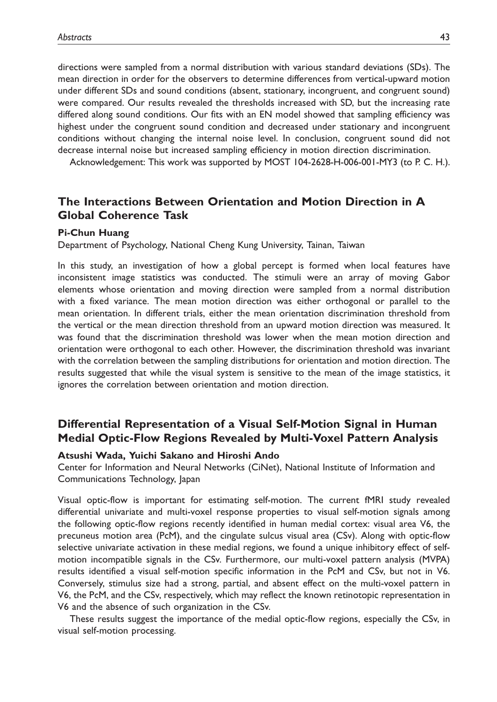directions were sampled from a normal distribution with various standard deviations (SDs). The mean direction in order for the observers to determine differences from vertical-upward motion under different SDs and sound conditions (absent, stationary, incongruent, and congruent sound) were compared. Our results revealed the thresholds increased with SD, but the increasing rate differed along sound conditions. Our fits with an EN model showed that sampling efficiency was highest under the congruent sound condition and decreased under stationary and incongruent conditions without changing the internal noise level. In conclusion, congruent sound did not decrease internal noise but increased sampling efficiency in motion direction discrimination.

Acknowledgement: This work was supported by MOST 104-2628-H-006-001-MY3 (to P. C. H.).

### The Interactions Between Orientation and Motion Direction in A Global Coherence Task

#### Pi-Chun Huang

Department of Psychology, National Cheng Kung University, Tainan, Taiwan

In this study, an investigation of how a global percept is formed when local features have inconsistent image statistics was conducted. The stimuli were an array of moving Gabor elements whose orientation and moving direction were sampled from a normal distribution with a fixed variance. The mean motion direction was either orthogonal or parallel to the mean orientation. In different trials, either the mean orientation discrimination threshold from the vertical or the mean direction threshold from an upward motion direction was measured. It was found that the discrimination threshold was lower when the mean motion direction and orientation were orthogonal to each other. However, the discrimination threshold was invariant with the correlation between the sampling distributions for orientation and motion direction. The results suggested that while the visual system is sensitive to the mean of the image statistics, it ignores the correlation between orientation and motion direction.

## Differential Representation of a Visual Self-Motion Signal in Human Medial Optic-Flow Regions Revealed by Multi-Voxel Pattern Analysis

#### Atsushi Wada, Yuichi Sakano and Hiroshi Ando

Center for Information and Neural Networks (CiNet), National Institute of Information and Communications Technology, Japan

Visual optic-flow is important for estimating self-motion. The current fMRI study revealed differential univariate and multi-voxel response properties to visual self-motion signals among the following optic-flow regions recently identified in human medial cortex: visual area V6, the precuneus motion area (PcM), and the cingulate sulcus visual area (CSv). Along with optic-flow selective univariate activation in these medial regions, we found a unique inhibitory effect of selfmotion incompatible signals in the CSv. Furthermore, our multi-voxel pattern analysis (MVPA) results identified a visual self-motion specific information in the PcM and CSv, but not in V6. Conversely, stimulus size had a strong, partial, and absent effect on the multi-voxel pattern in V6, the PcM, and the CSv, respectively, which may reflect the known retinotopic representation in V6 and the absence of such organization in the CSv.

These results suggest the importance of the medial optic-flow regions, especially the CSv, in visual self-motion processing.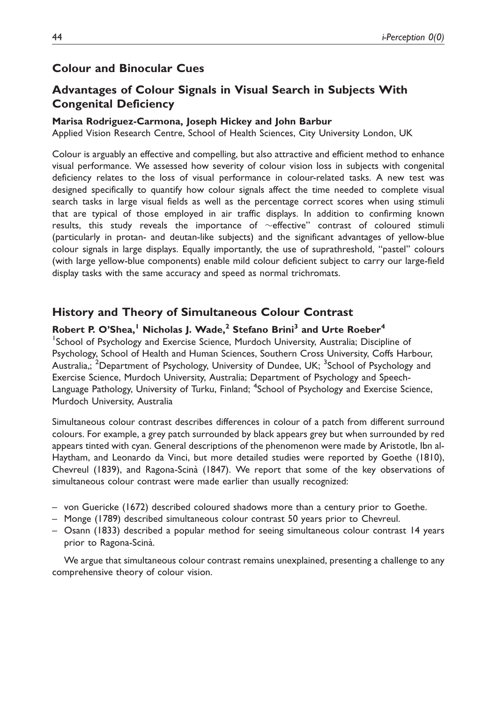### Colour and Binocular Cues

## Advantages of Colour Signals in Visual Search in Subjects With Congenital Deficiency

#### Marisa Rodriguez-Carmona, Joseph Hickey and John Barbur

Applied Vision Research Centre, School of Health Sciences, City University London, UK

Colour is arguably an effective and compelling, but also attractive and efficient method to enhance visual performance. We assessed how severity of colour vision loss in subjects with congenital deficiency relates to the loss of visual performance in colour-related tasks. A new test was designed specifically to quantify how colour signals affect the time needed to complete visual search tasks in large visual fields as well as the percentage correct scores when using stimuli that are typical of those employed in air traffic displays. In addition to confirming known results, this study reveals the importance of  $\sim$  effective" contrast of coloured stimuli (particularly in protan- and deutan-like subjects) and the significant advantages of yellow-blue colour signals in large displays. Equally importantly, the use of suprathreshold, ''pastel'' colours (with large yellow-blue components) enable mild colour deficient subject to carry our large-field display tasks with the same accuracy and speed as normal trichromats.

#### History and Theory of Simultaneous Colour Contrast

### Robert P. O'Shea,<sup>1</sup> Nicholas J. Wade,<sup>2</sup> Stefano Brini<sup>3</sup> and Urte Roeber<sup>4</sup>

<sup>1</sup>School of Psychology and Exercise Science, Murdoch University, Australia; Discipline of Psychology, School of Health and Human Sciences, Southern Cross University, Coffs Harbour, Australia,; <sup>2</sup>Department of Psychology, University of Dundee, UK; <sup>3</sup>School of Psychology and Exercise Science, Murdoch University, Australia; Department of Psychology and Speech-Language Pathology, University of Turku, Finland; <sup>4</sup>School of Psychology and Exercise Science, Murdoch University, Australia

Simultaneous colour contrast describes differences in colour of a patch from different surround colours. For example, a grey patch surrounded by black appears grey but when surrounded by red appears tinted with cyan. General descriptions of the phenomenon were made by Aristotle, Ibn al-Haytham, and Leonardo da Vinci, but more detailed studies were reported by Goethe (1810), Chevreul (1839), and Ragona-Scina` (1847). We report that some of the key observations of simultaneous colour contrast were made earlier than usually recognized:

- von Guericke (1672) described coloured shadows more than a century prior to Goethe.
- Monge (1789) described simultaneous colour contrast 50 years prior to Chevreul.
- Osann (1833) described a popular method for seeing simultaneous colour contrast 14 years prior to Ragona-Scinà.

We argue that simultaneous colour contrast remains unexplained, presenting a challenge to any comprehensive theory of colour vision.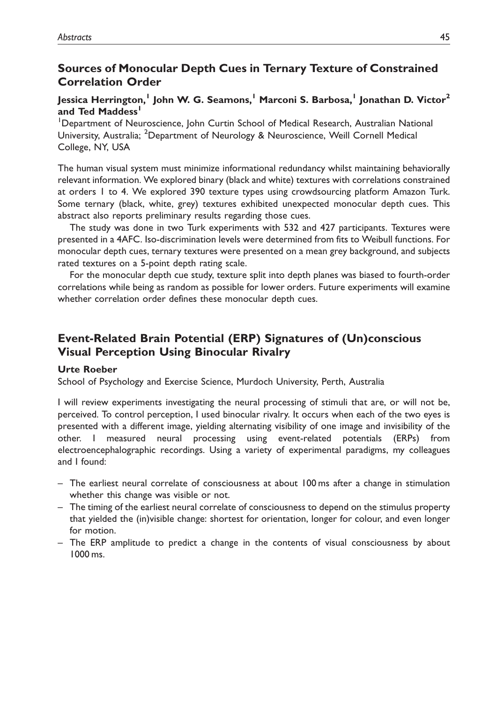## Sources of Monocular Depth Cues in Ternary Texture of Constrained Correlation Order

### Jessica Herrington,<sup>1</sup> John W. G. Seamons,<sup>1</sup> Marconi S. Barbosa,<sup>1</sup> Jonathan D. Victor<sup>2</sup> and Ted Maddess<sup>1</sup>

<sup>1</sup>Department of Neuroscience, John Curtin School of Medical Research, Australian National University, Australia; <sup>2</sup>Department of Neurology & Neuroscience, Weill Cornell Medical College, NY, USA

The human visual system must minimize informational redundancy whilst maintaining behaviorally relevant information. We explored binary (black and white) textures with correlations constrained at orders 1 to 4. We explored 390 texture types using crowdsourcing platform Amazon Turk. Some ternary (black, white, grey) textures exhibited unexpected monocular depth cues. This abstract also reports preliminary results regarding those cues.

The study was done in two Turk experiments with 532 and 427 participants. Textures were presented in a 4AFC. Iso-discrimination levels were determined from fits to Weibull functions. For monocular depth cues, ternary textures were presented on a mean grey background, and subjects rated textures on a 5-point depth rating scale.

For the monocular depth cue study, texture split into depth planes was biased to fourth-order correlations while being as random as possible for lower orders. Future experiments will examine whether correlation order defines these monocular depth cues.

## Event-Related Brain Potential (ERP) Signatures of (Un)conscious Visual Perception Using Binocular Rivalry

#### Urte Roeber

School of Psychology and Exercise Science, Murdoch University, Perth, Australia

I will review experiments investigating the neural processing of stimuli that are, or will not be, perceived. To control perception, I used binocular rivalry. It occurs when each of the two eyes is presented with a different image, yielding alternating visibility of one image and invisibility of the other. I measured neural processing using event-related potentials (ERPs) from electroencephalographic recordings. Using a variety of experimental paradigms, my colleagues and I found:

- The earliest neural correlate of consciousness at about 100 ms after a change in stimulation whether this change was visible or not.
- The timing of the earliest neural correlate of consciousness to depend on the stimulus property that yielded the (in)visible change: shortest for orientation, longer for colour, and even longer for motion.
- The ERP amplitude to predict a change in the contents of visual consciousness by about 1000 ms.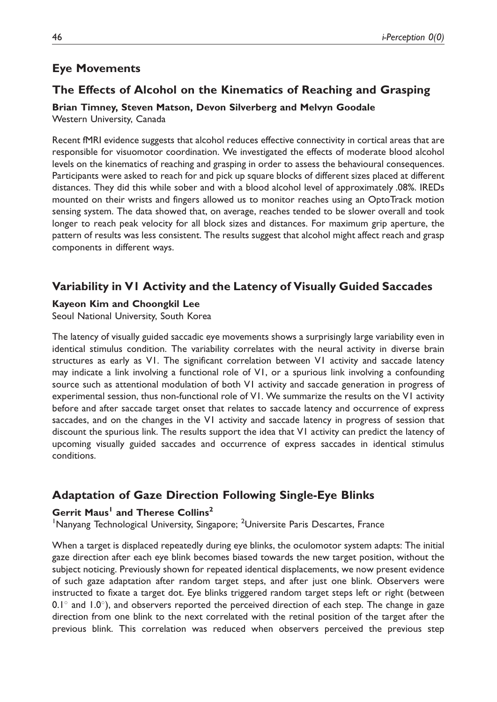## Eye Movements

## The Effects of Alcohol on the Kinematics of Reaching and Grasping

Brian Timney, Steven Matson, Devon Silverberg and Melvyn Goodale Western University, Canada

Recent fMRI evidence suggests that alcohol reduces effective connectivity in cortical areas that are responsible for visuomotor coordination. We investigated the effects of moderate blood alcohol levels on the kinematics of reaching and grasping in order to assess the behavioural consequences. Participants were asked to reach for and pick up square blocks of different sizes placed at different distances. They did this while sober and with a blood alcohol level of approximately .08%. IREDs mounted on their wrists and fingers allowed us to monitor reaches using an OptoTrack motion sensing system. The data showed that, on average, reaches tended to be slower overall and took longer to reach peak velocity for all block sizes and distances. For maximum grip aperture, the pattern of results was less consistent. The results suggest that alcohol might affect reach and grasp components in different ways.

## Variability in V1 Activity and the Latency of Visually Guided Saccades

### Kayeon Kim and Choongkil Lee

Seoul National University, South Korea

The latency of visually guided saccadic eye movements shows a surprisingly large variability even in identical stimulus condition. The variability correlates with the neural activity in diverse brain structures as early as V1. The significant correlation between V1 activity and saccade latency may indicate a link involving a functional role of V1, or a spurious link involving a confounding source such as attentional modulation of both V1 activity and saccade generation in progress of experimental session, thus non-functional role of V1. We summarize the results on the V1 activity before and after saccade target onset that relates to saccade latency and occurrence of express saccades, and on the changes in the V1 activity and saccade latency in progress of session that discount the spurious link. The results support the idea that V1 activity can predict the latency of upcoming visually guided saccades and occurrence of express saccades in identical stimulus conditions.

## Adaptation of Gaze Direction Following Single-Eye Blinks

### Gerrit Maus<sup>1</sup> and Therese Collins<sup>2</sup>

<sup>1</sup>Nanyang Technological University, Singapore; <sup>2</sup>Universite Paris Descartes, France

When a target is displaced repeatedly during eye blinks, the oculomotor system adapts: The initial gaze direction after each eye blink becomes biased towards the new target position, without the subject noticing. Previously shown for repeated identical displacements, we now present evidence of such gaze adaptation after random target steps, and after just one blink. Observers were instructed to fixate a target dot. Eye blinks triggered random target steps left or right (between 0.1 $^{\circ}$  and 1.0 $^{\circ}$ ), and observers reported the perceived direction of each step. The change in gaze direction from one blink to the next correlated with the retinal position of the target after the previous blink. This correlation was reduced when observers perceived the previous step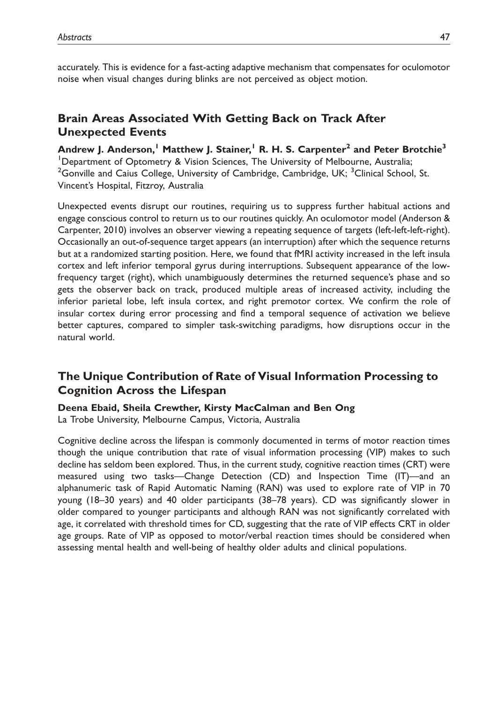accurately. This is evidence for a fast-acting adaptive mechanism that compensates for oculomotor noise when visual changes during blinks are not perceived as object motion.

## Brain Areas Associated With Getting Back on Track After Unexpected Events

Andrew J. Anderson,<sup>1</sup> Matthew J. Stainer,<sup>1</sup> R. H. S. Carpenter<sup>2</sup> and Peter Brotchie<sup>3</sup> <sup>1</sup>Department of Optometry & Vision Sciences, The University of Melbourne, Australia; <sup>2</sup> Gonville and Caius College, University of Cambridge, Cambridge, UK; <sup>3</sup> Clinical School, St. Vincent's Hospital, Fitzroy, Australia

Unexpected events disrupt our routines, requiring us to suppress further habitual actions and engage conscious control to return us to our routines quickly. An oculomotor model (Anderson & Carpenter, 2010) involves an observer viewing a repeating sequence of targets (left-left-left-right). Occasionally an out-of-sequence target appears (an interruption) after which the sequence returns but at a randomized starting position. Here, we found that fMRI activity increased in the left insula cortex and left inferior temporal gyrus during interruptions. Subsequent appearance of the lowfrequency target (right), which unambiguously determines the returned sequence's phase and so gets the observer back on track, produced multiple areas of increased activity, including the inferior parietal lobe, left insula cortex, and right premotor cortex. We confirm the role of insular cortex during error processing and find a temporal sequence of activation we believe better captures, compared to simpler task-switching paradigms, how disruptions occur in the natural world.

## The Unique Contribution of Rate of Visual Information Processing to Cognition Across the Lifespan

#### Deena Ebaid, Sheila Crewther, Kirsty MacCalman and Ben Ong

La Trobe University, Melbourne Campus, Victoria, Australia

Cognitive decline across the lifespan is commonly documented in terms of motor reaction times though the unique contribution that rate of visual information processing (VIP) makes to such decline has seldom been explored. Thus, in the current study, cognitive reaction times (CRT) were measured using two tasks—Change Detection (CD) and Inspection Time (IT)—and an alphanumeric task of Rapid Automatic Naming (RAN) was used to explore rate of VIP in 70 young (18–30 years) and 40 older participants (38–78 years). CD was significantly slower in older compared to younger participants and although RAN was not significantly correlated with age, it correlated with threshold times for CD, suggesting that the rate of VIP effects CRT in older age groups. Rate of VIP as opposed to motor/verbal reaction times should be considered when assessing mental health and well-being of healthy older adults and clinical populations.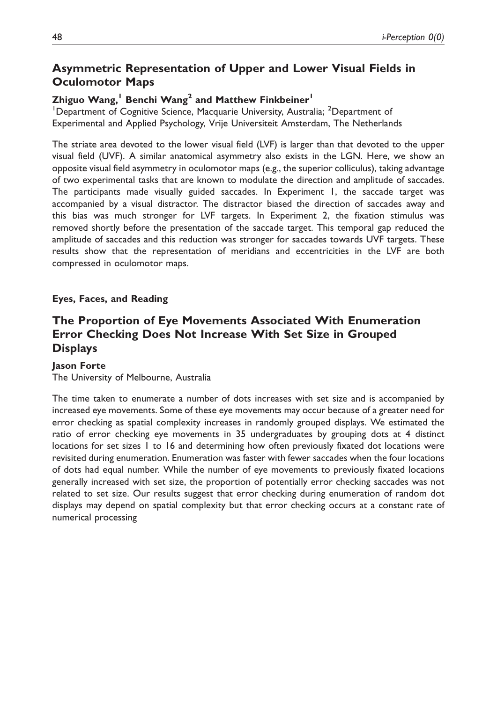## Asymmetric Representation of Upper and Lower Visual Fields in Oculomotor Maps

### Zhiguo Wang,<sup>1</sup> Benchi Wang<sup>2</sup> and Matthew Finkbeiner<sup>1</sup>

<sup>1</sup>Department of Cognitive Science, Macquarie University, Australia; <sup>2</sup>Department of Experimental and Applied Psychology, Vrije Universiteit Amsterdam, The Netherlands

The striate area devoted to the lower visual field (LVF) is larger than that devoted to the upper visual field (UVF). A similar anatomical asymmetry also exists in the LGN. Here, we show an opposite visual field asymmetry in oculomotor maps (e.g., the superior colliculus), taking advantage of two experimental tasks that are known to modulate the direction and amplitude of saccades. The participants made visually guided saccades. In Experiment 1, the saccade target was accompanied by a visual distractor. The distractor biased the direction of saccades away and this bias was much stronger for LVF targets. In Experiment 2, the fixation stimulus was removed shortly before the presentation of the saccade target. This temporal gap reduced the amplitude of saccades and this reduction was stronger for saccades towards UVF targets. These results show that the representation of meridians and eccentricities in the LVF are both compressed in oculomotor maps.

### Eyes, Faces, and Reading

## The Proportion of Eye Movements Associated With Enumeration Error Checking Does Not Increase With Set Size in Grouped **Displays**

#### Jason Forte

The University of Melbourne, Australia

The time taken to enumerate a number of dots increases with set size and is accompanied by increased eye movements. Some of these eye movements may occur because of a greater need for error checking as spatial complexity increases in randomly grouped displays. We estimated the ratio of error checking eye movements in 35 undergraduates by grouping dots at 4 distinct locations for set sizes 1 to 16 and determining how often previously fixated dot locations were revisited during enumeration. Enumeration was faster with fewer saccades when the four locations of dots had equal number. While the number of eye movements to previously fixated locations generally increased with set size, the proportion of potentially error checking saccades was not related to set size. Our results suggest that error checking during enumeration of random dot displays may depend on spatial complexity but that error checking occurs at a constant rate of numerical processing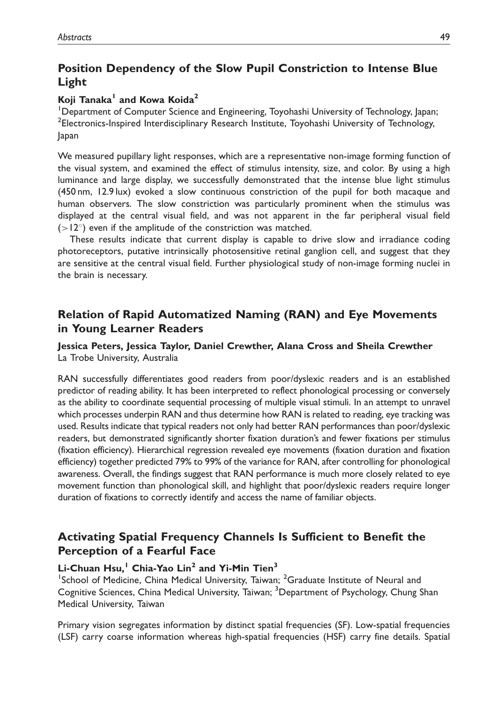## Position Dependency of the Slow Pupil Constriction to Intense Blue Light

### Koji Tanaka<sup>1</sup> and Kowa Koida<sup>2</sup>

<sup>1</sup>Department of Computer Science and Engineering, Toyohashi University of Technology, Japan; <sup>2</sup>Electronics-Inspired Interdisciplinary Research Institute, Toyohashi University of Technology, Japan

We measured pupillary light responses, which are a representative non-image forming function of the visual system, and examined the effect of stimulus intensity, size, and color. By using a high luminance and large display, we successfully demonstrated that the intense blue light stimulus (450 nm, 12.9 lux) evoked a slow continuous constriction of the pupil for both macaque and human observers. The slow constriction was particularly prominent when the stimulus was displayed at the central visual field, and was not apparent in the far peripheral visual field  $(>12^{\circ})$  even if the amplitude of the constriction was matched.

These results indicate that current display is capable to drive slow and irradiance coding photoreceptors, putative intrinsically photosensitive retinal ganglion cell, and suggest that they are sensitive at the central visual field. Further physiological study of non-image forming nuclei in the brain is necessary.

## Relation of Rapid Automatized Naming (RAN) and Eye Movements in Young Learner Readers

### Jessica Peters, Jessica Taylor, Daniel Crewther, Alana Cross and Sheila Crewther La Trobe University, Australia

RAN successfully differentiates good readers from poor/dyslexic readers and is an established predictor of reading ability. It has been interpreted to reflect phonological processing or conversely as the ability to coordinate sequential processing of multiple visual stimuli. In an attempt to unravel which processes underpin RAN and thus determine how RAN is related to reading, eye tracking was used. Results indicate that typical readers not only had better RAN performances than poor/dyslexic readers, but demonstrated significantly shorter fixation duration's and fewer fixations per stimulus (fixation efficiency). Hierarchical regression revealed eye movements (fixation duration and fixation efficiency) together predicted 79% to 99% of the variance for RAN, after controlling for phonological awareness. Overall, the findings suggest that RAN performance is much more closely related to eye movement function than phonological skill, and highlight that poor/dyslexic readers require longer duration of fixations to correctly identify and access the name of familiar objects.

## Activating Spatial Frequency Channels Is Sufficient to Benefit the Perception of a Fearful Face

### Li-Chuan Hsu,<sup>1</sup> Chia-Yao Lin<sup>2</sup> and Yi-Min Tien<sup>3</sup>

<sup>1</sup>School of Medicine, China Medical University, Taiwan; <sup>2</sup>Graduate Institute of Neural and Cognitive Sciences, China Medical University, Taiwan; <sup>3</sup>Department of Psychology, Chung Shan Medical University, Taiwan

Primary vision segregates information by distinct spatial frequencies (SF). Low-spatial frequencies (LSF) carry coarse information whereas high-spatial frequencies (HSF) carry fine details. Spatial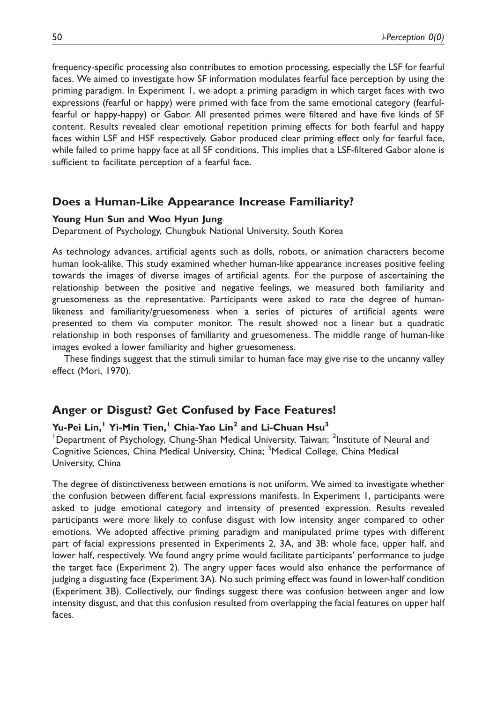frequency-specific processing also contributes to emotion processing, especially the LSF for fearful faces. We aimed to investigate how SF information modulates fearful face perception by using the priming paradigm. In Experiment 1, we adopt a priming paradigm in which target faces with two expressions (fearful or happy) were primed with face from the same emotional category (fearfulfearful or happy-happy) or Gabor. All presented primes were filtered and have five kinds of SF content. Results revealed clear emotional repetition priming effects for both fearful and happy faces within LSF and HSF respectively. Gabor produced clear priming effect only for fearful face, while failed to prime happy face at all SF conditions. This implies that a LSF-filtered Gabor alone is sufficient to facilitate perception of a fearful face.

### Does a Human-Like Appearance Increase Familiarity?

#### Young Hun Sun and Woo Hyun Jung

Department of Psychology, Chungbuk National University, South Korea

As technology advances, artificial agents such as dolls, robots, or animation characters become human look-alike. This study examined whether human-like appearance increases positive feeling towards the images of diverse images of artificial agents. For the purpose of ascertaining the relationship between the positive and negative feelings, we measured both familiarity and gruesomeness as the representative. Participants were asked to rate the degree of humanlikeness and familiarity/gruesomeness when a series of pictures of artificial agents were presented to them via computer monitor. The result showed not a linear but a quadratic relationship in both responses of familiarity and gruesomeness. The middle range of human-like images evoked a lower familiarity and higher gruesomeness.

These findings suggest that the stimuli similar to human face may give rise to the uncanny valley effect (Mori, 1970).

### Anger or Disgust? Get Confused by Face Features!

#### Yu-Pei Lin,<sup>1</sup> Yi-Min Tien,<sup>1</sup> Chia-Yao Lin<sup>2</sup> and Li-Chuan Hsu<sup>3</sup>

<sup>1</sup>Department of Psychology, Chung-Shan Medical University, Taiwan; <sup>2</sup>Institute of Neural and Cognitive Sciences, China Medical University, China; <sup>3</sup>Medical College, China Medical University, China

The degree of distinctiveness between emotions is not uniform. We aimed to investigate whether the confusion between different facial expressions manifests. In Experiment 1, participants were asked to judge emotional category and intensity of presented expression. Results revealed participants were more likely to confuse disgust with low intensity anger compared to other emotions. We adopted affective priming paradigm and manipulated prime types with different part of facial expressions presented in Experiments 2, 3A, and 3B: whole face, upper half, and lower half, respectively. We found angry prime would facilitate participants' performance to judge the target face (Experiment 2). The angry upper faces would also enhance the performance of judging a disgusting face (Experiment 3A). No such priming effect was found in lower-half condition (Experiment 3B). Collectively, our findings suggest there was confusion between anger and low intensity disgust, and that this confusion resulted from overlapping the facial features on upper half faces.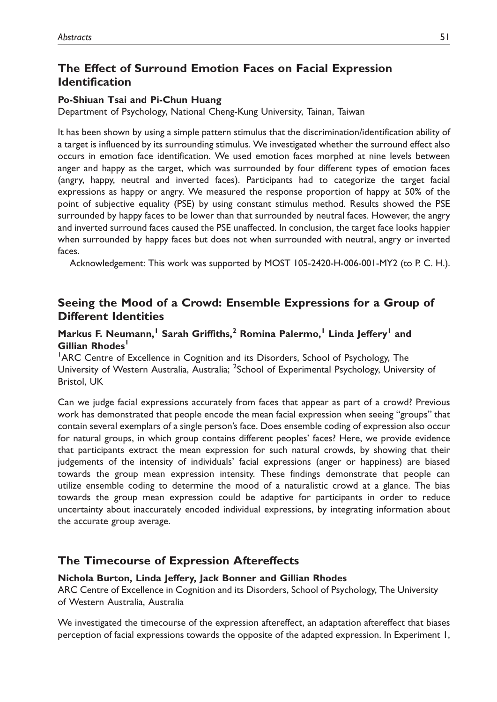## The Effect of Surround Emotion Faces on Facial Expression Identification

#### Po-Shiuan Tsai and Pi-Chun Huang

Department of Psychology, National Cheng-Kung University, Tainan, Taiwan

It has been shown by using a simple pattern stimulus that the discrimination/identification ability of a target is influenced by its surrounding stimulus. We investigated whether the surround effect also occurs in emotion face identification. We used emotion faces morphed at nine levels between anger and happy as the target, which was surrounded by four different types of emotion faces (angry, happy, neutral and inverted faces). Participants had to categorize the target facial expressions as happy or angry. We measured the response proportion of happy at 50% of the point of subjective equality (PSE) by using constant stimulus method. Results showed the PSE surrounded by happy faces to be lower than that surrounded by neutral faces. However, the angry and inverted surround faces caused the PSE unaffected. In conclusion, the target face looks happier when surrounded by happy faces but does not when surrounded with neutral, angry or inverted faces.

Acknowledgement: This work was supported by MOST 105-2420-H-006-001-MY2 (to P. C. H.).

## Seeing the Mood of a Crowd: Ensemble Expressions for a Group of Different Identities

### Markus F. Neumann,<sup>1</sup> Sarah Griffiths,<sup>2</sup> Romina Palermo,<sup>1</sup> Linda Jeffery<sup>1</sup> and Gillian Rhodes<sup>1</sup>

<sup>1</sup>ARC Centre of Excellence in Cognition and its Disorders, School of Psychology, The University of Western Australia, Australia; <sup>2</sup>School of Experimental Psychology, University of Bristol, UK

Can we judge facial expressions accurately from faces that appear as part of a crowd? Previous work has demonstrated that people encode the mean facial expression when seeing ''groups'' that contain several exemplars of a single person's face. Does ensemble coding of expression also occur for natural groups, in which group contains different peoples' faces? Here, we provide evidence that participants extract the mean expression for such natural crowds, by showing that their judgements of the intensity of individuals' facial expressions (anger or happiness) are biased towards the group mean expression intensity. These findings demonstrate that people can utilize ensemble coding to determine the mood of a naturalistic crowd at a glance. The bias towards the group mean expression could be adaptive for participants in order to reduce uncertainty about inaccurately encoded individual expressions, by integrating information about the accurate group average.

### The Timecourse of Expression Aftereffects

#### Nichola Burton, Linda Jeffery, Jack Bonner and Gillian Rhodes

ARC Centre of Excellence in Cognition and its Disorders, School of Psychology, The University of Western Australia, Australia

We investigated the timecourse of the expression aftereffect, an adaptation aftereffect that biases perception of facial expressions towards the opposite of the adapted expression. In Experiment 1,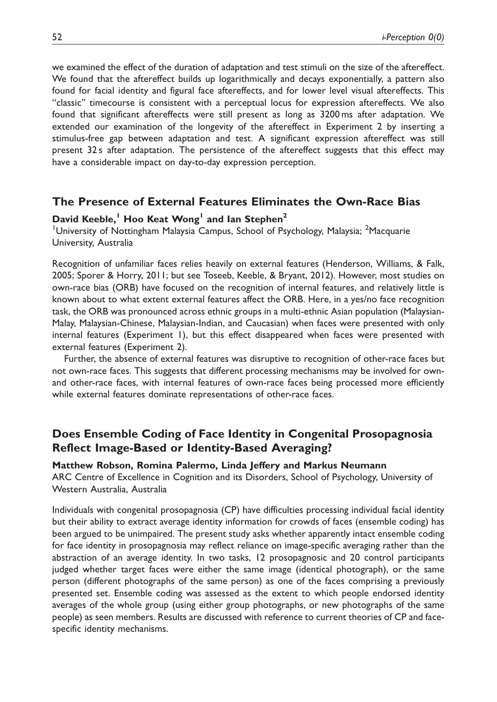we examined the effect of the duration of adaptation and test stimuli on the size of the aftereffect. We found that the aftereffect builds up logarithmically and decays exponentially, a pattern also found for facial identity and figural face aftereffects, and for lower level visual aftereffects. This ''classic'' timecourse is consistent with a perceptual locus for expression aftereffects. We also found that significant aftereffects were still present as long as 3200 ms after adaptation. We extended our examination of the longevity of the aftereffect in Experiment 2 by inserting a stimulus-free gap between adaptation and test. A significant expression aftereffect was still present 32 s after adaptation. The persistence of the aftereffect suggests that this effect may have a considerable impact on day-to-day expression perception.

### The Presence of External Features Eliminates the Own-Race Bias

#### David Keeble,<sup>1</sup> Hoo Keat Wong<sup>1</sup> and Ian Stephen<sup>2</sup>

<sup>1</sup>University of Nottingham Malaysia Campus, School of Psychology, Malaysia; <sup>2</sup>Macquarie University, Australia

Recognition of unfamiliar faces relies heavily on external features (Henderson, Williams, & Falk, 2005; Sporer & Horry, 2011; but see Toseeb, Keeble, & Bryant, 2012). However, most studies on own-race bias (ORB) have focused on the recognition of internal features, and relatively little is known about to what extent external features affect the ORB. Here, in a yes/no face recognition task, the ORB was pronounced across ethnic groups in a multi-ethnic Asian population (Malaysian-Malay, Malaysian-Chinese, Malaysian-Indian, and Caucasian) when faces were presented with only internal features (Experiment 1), but this effect disappeared when faces were presented with external features (Experiment 2).

Further, the absence of external features was disruptive to recognition of other-race faces but not own-race faces. This suggests that different processing mechanisms may be involved for ownand other-race faces, with internal features of own-race faces being processed more efficiently while external features dominate representations of other-race faces.

## Does Ensemble Coding of Face Identity in Congenital Prosopagnosia Reflect Image-Based or Identity-Based Averaging?

#### Matthew Robson, Romina Palermo, Linda Jeffery and Markus Neumann

ARC Centre of Excellence in Cognition and its Disorders, School of Psychology, University of Western Australia, Australia

Individuals with congenital prosopagnosia (CP) have difficulties processing individual facial identity but their ability to extract average identity information for crowds of faces (ensemble coding) has been argued to be unimpaired. The present study asks whether apparently intact ensemble coding for face identity in prosopagnosia may reflect reliance on image-specific averaging rather than the abstraction of an average identity. In two tasks, 12 prosopagnosic and 20 control participants judged whether target faces were either the same image (identical photograph), or the same person (different photographs of the same person) as one of the faces comprising a previously presented set. Ensemble coding was assessed as the extent to which people endorsed identity averages of the whole group (using either group photographs, or new photographs of the same people) as seen members. Results are discussed with reference to current theories of CP and facespecific identity mechanisms.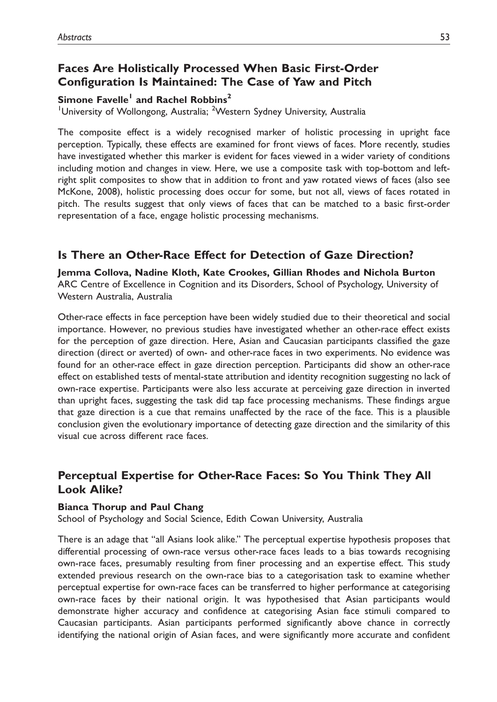## Faces Are Holistically Processed When Basic First-Order Configuration Is Maintained: The Case of Yaw and Pitch

Simone Favelle<sup>1</sup> and Rachel Robbins<sup>2</sup>

<sup>1</sup>University of Wollongong, Australia; <sup>2</sup>Western Sydney University, Australia

The composite effect is a widely recognised marker of holistic processing in upright face perception. Typically, these effects are examined for front views of faces. More recently, studies have investigated whether this marker is evident for faces viewed in a wider variety of conditions including motion and changes in view. Here, we use a composite task with top-bottom and leftright split composites to show that in addition to front and yaw rotated views of faces (also see McKone, 2008), holistic processing does occur for some, but not all, views of faces rotated in pitch. The results suggest that only views of faces that can be matched to a basic first-order representation of a face, engage holistic processing mechanisms.

## Is There an Other-Race Effect for Detection of Gaze Direction?

Jemma Collova, Nadine Kloth, Kate Crookes, Gillian Rhodes and Nichola Burton ARC Centre of Excellence in Cognition and its Disorders, School of Psychology, University of Western Australia, Australia

Other-race effects in face perception have been widely studied due to their theoretical and social importance. However, no previous studies have investigated whether an other-race effect exists for the perception of gaze direction. Here, Asian and Caucasian participants classified the gaze direction (direct or averted) of own- and other-race faces in two experiments. No evidence was found for an other-race effect in gaze direction perception. Participants did show an other-race effect on established tests of mental-state attribution and identity recognition suggesting no lack of own-race expertise. Participants were also less accurate at perceiving gaze direction in inverted than upright faces, suggesting the task did tap face processing mechanisms. These findings argue that gaze direction is a cue that remains unaffected by the race of the face. This is a plausible conclusion given the evolutionary importance of detecting gaze direction and the similarity of this visual cue across different race faces.

## Perceptual Expertise for Other-Race Faces: So You Think They All Look Alike?

#### Bianca Thorup and Paul Chang

School of Psychology and Social Science, Edith Cowan University, Australia

There is an adage that ''all Asians look alike.'' The perceptual expertise hypothesis proposes that differential processing of own-race versus other-race faces leads to a bias towards recognising own-race faces, presumably resulting from finer processing and an expertise effect. This study extended previous research on the own-race bias to a categorisation task to examine whether perceptual expertise for own-race faces can be transferred to higher performance at categorising own-race faces by their national origin. It was hypothesised that Asian participants would demonstrate higher accuracy and confidence at categorising Asian face stimuli compared to Caucasian participants. Asian participants performed significantly above chance in correctly identifying the national origin of Asian faces, and were significantly more accurate and confident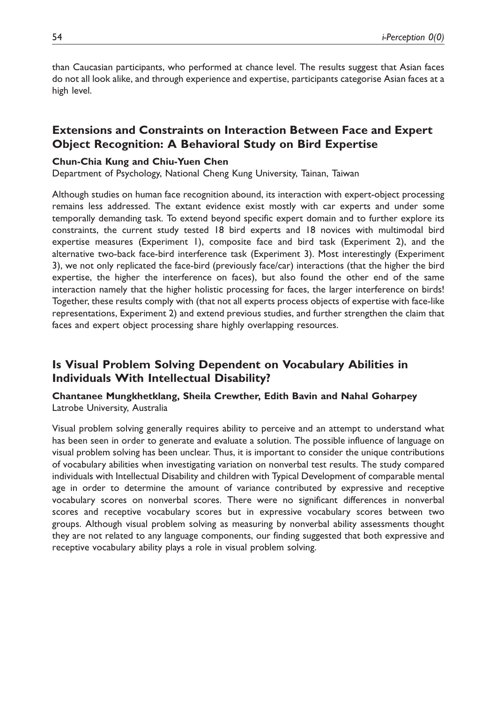than Caucasian participants, who performed at chance level. The results suggest that Asian faces do not all look alike, and through experience and expertise, participants categorise Asian faces at a high level.

## Extensions and Constraints on Interaction Between Face and Expert Object Recognition: A Behavioral Study on Bird Expertise

#### Chun-Chia Kung and Chiu-Yuen Chen

Department of Psychology, National Cheng Kung University, Tainan, Taiwan

Although studies on human face recognition abound, its interaction with expert-object processing remains less addressed. The extant evidence exist mostly with car experts and under some temporally demanding task. To extend beyond specific expert domain and to further explore its constraints, the current study tested 18 bird experts and 18 novices with multimodal bird expertise measures (Experiment 1), composite face and bird task (Experiment 2), and the alternative two-back face-bird interference task (Experiment 3). Most interestingly (Experiment 3), we not only replicated the face-bird (previously face/car) interactions (that the higher the bird expertise, the higher the interference on faces), but also found the other end of the same interaction namely that the higher holistic processing for faces, the larger interference on birds! Together, these results comply with (that not all experts process objects of expertise with face-like representations, Experiment 2) and extend previous studies, and further strengthen the claim that faces and expert object processing share highly overlapping resources.

## Is Visual Problem Solving Dependent on Vocabulary Abilities in Individuals With Intellectual Disability?

Chantanee Mungkhetklang, Sheila Crewther, Edith Bavin and Nahal Goharpey Latrobe University, Australia

Visual problem solving generally requires ability to perceive and an attempt to understand what has been seen in order to generate and evaluate a solution. The possible influence of language on visual problem solving has been unclear. Thus, it is important to consider the unique contributions of vocabulary abilities when investigating variation on nonverbal test results. The study compared individuals with Intellectual Disability and children with Typical Development of comparable mental age in order to determine the amount of variance contributed by expressive and receptive vocabulary scores on nonverbal scores. There were no significant differences in nonverbal scores and receptive vocabulary scores but in expressive vocabulary scores between two groups. Although visual problem solving as measuring by nonverbal ability assessments thought they are not related to any language components, our finding suggested that both expressive and receptive vocabulary ability plays a role in visual problem solving.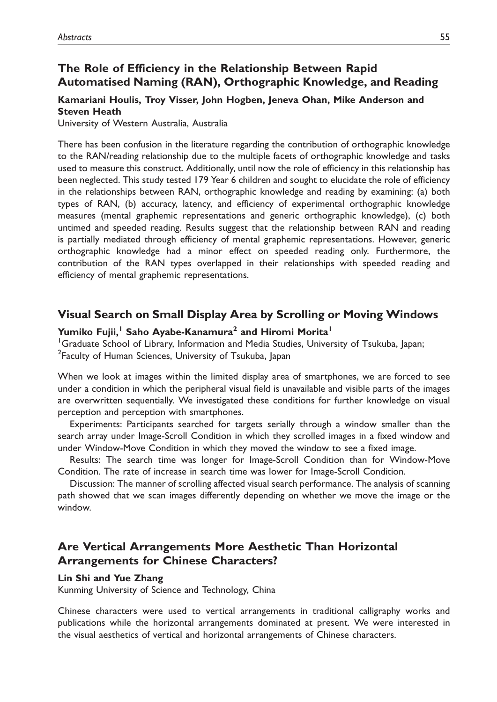## The Role of Efficiency in the Relationship Between Rapid Automatised Naming (RAN), Orthographic Knowledge, and Reading

### Kamariani Houlis, Troy Visser, John Hogben, Jeneva Ohan, Mike Anderson and Steven Heath

University of Western Australia, Australia

There has been confusion in the literature regarding the contribution of orthographic knowledge to the RAN/reading relationship due to the multiple facets of orthographic knowledge and tasks used to measure this construct. Additionally, until now the role of efficiency in this relationship has been neglected. This study tested 179 Year 6 children and sought to elucidate the role of efficiency in the relationships between RAN, orthographic knowledge and reading by examining: (a) both types of RAN, (b) accuracy, latency, and efficiency of experimental orthographic knowledge measures (mental graphemic representations and generic orthographic knowledge), (c) both untimed and speeded reading. Results suggest that the relationship between RAN and reading is partially mediated through efficiency of mental graphemic representations. However, generic orthographic knowledge had a minor effect on speeded reading only. Furthermore, the contribution of the RAN types overlapped in their relationships with speeded reading and efficiency of mental graphemic representations.

### Visual Search on Small Display Area by Scrolling or Moving Windows

### Yumiko Fujii,<sup>1</sup> Saho Ayabe-Kanamura<sup>2</sup> and Hiromi Morita<sup>1</sup>

<sup>1</sup>Graduate School of Library, Information and Media Studies, University of Tsukuba, Japan; <sup>2</sup> Faculty of Human Sciences, University of Tsukuba, Japan

When we look at images within the limited display area of smartphones, we are forced to see under a condition in which the peripheral visual field is unavailable and visible parts of the images are overwritten sequentially. We investigated these conditions for further knowledge on visual perception and perception with smartphones.

Experiments: Participants searched for targets serially through a window smaller than the search array under Image-Scroll Condition in which they scrolled images in a fixed window and under Window-Move Condition in which they moved the window to see a fixed image.

Results: The search time was longer for Image-Scroll Condition than for Window-Move Condition. The rate of increase in search time was lower for Image-Scroll Condition.

Discussion: The manner of scrolling affected visual search performance. The analysis of scanning path showed that we scan images differently depending on whether we move the image or the window.

## Are Vertical Arrangements More Aesthetic Than Horizontal Arrangements for Chinese Characters?

#### Lin Shi and Yue Zhang

Kunming University of Science and Technology, China

Chinese characters were used to vertical arrangements in traditional calligraphy works and publications while the horizontal arrangements dominated at present. We were interested in the visual aesthetics of vertical and horizontal arrangements of Chinese characters.